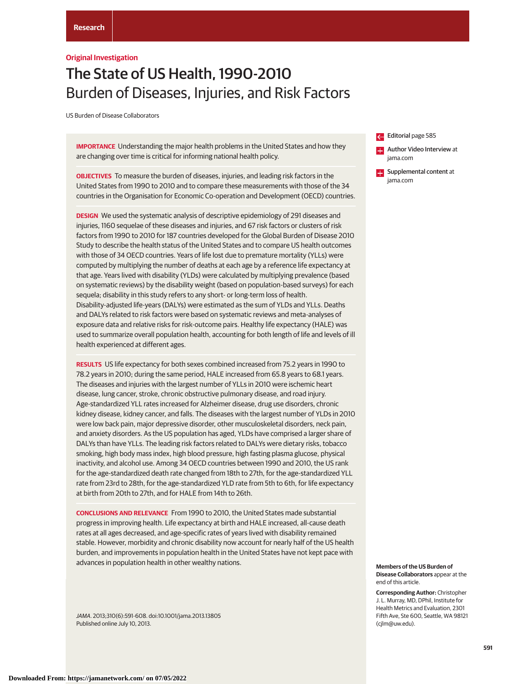# **Original Investigation**

# The State of US Health, 1990-2010 Burden of Diseases, Injuries, and Risk Factors

US Burden of Disease Collaborators

**IMPORTANCE** Understanding the major health problems in the United States and how they are changing over time is critical for informing national health policy.

**OBJECTIVES** To measure the burden of diseases, injuries, and leading risk factors in the United States from 1990 to 2010 and to compare these measurements with those of the 34 countries in the Organisation for Economic Co-operation and Development (OECD) countries.

**DESIGN** We used the systematic analysis of descriptive epidemiology of 291 diseases and injuries, 1160 sequelae of these diseases and injuries, and 67 risk factors or clusters of risk factors from 1990 to 2010 for 187 countries developed for the Global Burden of Disease 2010 Study to describe the health status of the United States and to compare US health outcomes with those of 34 OECD countries. Years of life lost due to premature mortality (YLLs) were computed by multiplying the number of deaths at each age by a reference life expectancy at that age. Years lived with disability (YLDs) were calculated by multiplying prevalence (based on systematic reviews) by the disability weight (based on population-based surveys) for each sequela; disability in this study refers to any short- or long-term loss of health. Disability-adjusted life-years (DALYs) were estimated as the sum of YLDs and YLLs. Deaths and DALYs related to risk factors were based on systematic reviews and meta-analyses of exposure data and relative risks for risk-outcome pairs. Healthy life expectancy (HALE) was used to summarize overall population health, accounting for both length of life and levels of ill health experienced at different ages.

**RESULTS** US life expectancy for both sexes combined increased from 75.2 years in 1990 to 78.2 years in 2010; during the same period, HALE increased from 65.8 years to 68.1 years. The diseases and injuries with the largest number of YLLs in 2010 were ischemic heart disease, lung cancer, stroke, chronic obstructive pulmonary disease, and road injury. Age-standardized YLL rates increased for Alzheimer disease, drug use disorders, chronic kidney disease, kidney cancer, and falls. The diseases with the largest number of YLDs in 2010 were low back pain, major depressive disorder, other musculoskeletal disorders, neck pain, and anxiety disorders. As the US population has aged, YLDs have comprised a larger share of DALYs than have YLLs. The leading risk factors related to DALYs were dietary risks, tobacco smoking, high body mass index, high blood pressure, high fasting plasma glucose, physical inactivity, and alcohol use. Among 34 OECD countries between 1990 and 2010, the US rank for the age-standardized death rate changed from 18th to 27th, for the age-standardized YLL rate from 23rd to 28th, for the age-standardized YLD rate from 5th to 6th, for life expectancy at birth from 20th to 27th, and for HALE from 14th to 26th.

**CONCLUSIONS AND RELEVANCE** From 1990 to 2010, the United States made substantial progress in improving health. Life expectancy at birth and HALE increased, all-cause death rates at all ages decreased, and age-specific rates of years lived with disability remained stable. However, morbidity and chronic disability now account for nearly half of the US health burden, and improvements in population health in the United States have not kept pace with advances in population health in other wealthy nations.

JAMA. 2013;310(6):591-608. doi:10.1001/jama.2013.13805 Published online July 10, 2013.



jama.com

**Members of the US Burden of Disease Collaborators** appear at the end of this article.

**Corresponding Author:** Christopher J. L. Murray, MD, DPhil, Institute for Health Metrics and Evaluation, 2301 Fifth Ave, Ste 600, Seattle, WA 98121 (cjlm@uw.edu).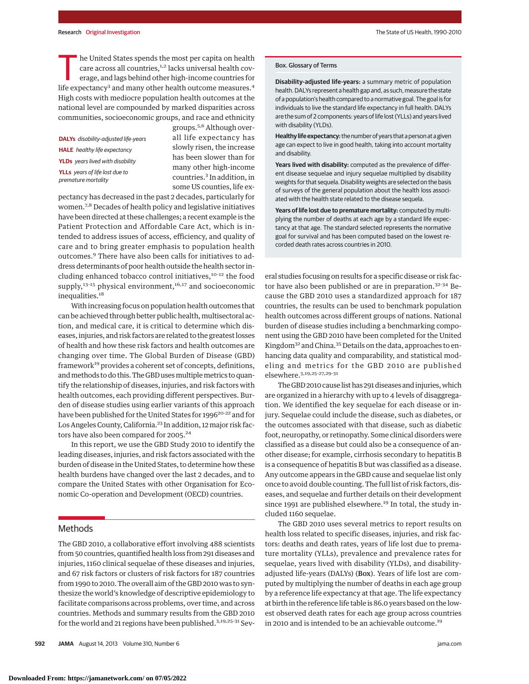he United States spends the most per capita on health care across all countries,<sup>1,2</sup> lacks universal health coverage, and lags behind other high-income countries for life expectancy<sup>3</sup> and many other health outcome measures.<sup>4</sup> High costs with mediocre population health outcomes at the national level are compounded by marked disparities across communities, socioeconomic groups, and race and ethnicity

**DALYs** disability-adjusted life-years **HALE** healthy life expectancy **YLDs** years lived with disability **YLLs** years of life lost due to premature mortality

groups.5,6 Although overall life expectancy has slowly risen, the increase has been slower than for many other high-income countries.3 In addition, in some US counties, life ex-

pectancy has decreased in the past 2 decades, particularly for women.<sup>7,8</sup> Decades of health policy and legislative initiatives have been directed at these challenges; a recent example is the Patient Protection and Affordable Care Act, which is intended to address issues of access, efficiency, and quality of care and to bring greater emphasis to population health outcomes.<sup>9</sup> There have also been calls for initiatives to address determinants of poor health outside the health sector including enhanced tobacco control initiatives,<sup>10-12</sup> the food supply, $13-15$  physical environment, $16,17$  and socioeconomic inequalities.<sup>18</sup>

With increasing focus on population health outcomes that can be achieved through better public health, multisectoral action, and medical care, it is critical to determine which diseases, injuries, and risk factors are related to the greatest losses of health and how these risk factors and health outcomes are changing over time. The Global Burden of Disease (GBD) framework<sup>19</sup> provides a coherent set of concepts, definitions, and methods to do this. The GBD uses multiple metrics to quantify the relationship of diseases, injuries, and risk factors with health outcomes, each providing different perspectives. Burden of disease studies using earlier variants of this approach have been published for the United States for 1996<sup>20-22</sup> and for Los Angeles County, California.<sup>23</sup> In addition, 12 major risk factors have also been compared for 2005.<sup>24</sup>

In this report, we use the GBD Study 2010 to identify the leading diseases, injuries, and risk factors associated with the burden of disease in the United States, to determine how these health burdens have changed over the last 2 decades, and to compare the United States with other Organisation for Economic Co-operation and Development (OECD) countries.

# **Methods**

The GBD 2010, a collaborative effort involving 488 scientists from 50 countries, quantified health loss from 291 diseases and injuries, 1160 clinical sequelae of these diseases and injuries, and 67 risk factors or clusters of risk factors for 187 countries from 1990 to 2010. The overall aim of the GBD 2010 was to synthesize the world's knowledge of descriptive epidemiology to facilitate comparisons across problems, over time, and across countries. Methods and summary results from the GBD 2010 for the world and 21 regions have been published.<sup>3,19,25-31</sup> Sev-

# Box. Glossary of Terms

**Disability-adjusted life-years:** a summary metric of population health. DALYs represent a health gap and, as such, measure the state of a population's health compared to a normative goal. The goal is for individuals to live the standard life expectancy in full health. DALYs are the sum of 2 components: years of life lost (YLLs) and years lived with disability (YLDs).

Healthy life expectancy: the number of years that a person at a given age can expect to live in good health, taking into account mortality and disability.

**Years lived with disability:** computed as the prevalence of different disease sequelae and injury sequelae multiplied by disability weights for that sequela. Disability weights are selected on the basis of surveys of the general population about the health loss associated with the health state related to the disease sequela.

**Years of life lost due to premature mortality:** computed by multiplying the number of deaths at each age by a standard life expectancy at that age. The standard selected represents the normative goal for survival and has been computed based on the lowest recorded death rates across countries in 2010.

eral studies focusing on results for a specific disease or risk factor have also been published or are in preparation.<sup>32-34</sup> Because the GBD 2010 uses a standardized approach for 187 countries, the results can be used to benchmark population health outcomes across different groups of nations. National burden of disease studies including a benchmarking component using the GBD 2010 have been completed for the United Kingdom<sup>32</sup> and China.<sup>35</sup> Details on the data, approaches to enhancing data quality and comparability, and statistical modeling and metrics for the GBD 2010 are published elsewhere.3,19,25-27,29-31

The GBD 2010 cause list has 291 diseases and injuries,which are organized in a hierarchy with up to 4 levels of disaggregation. We identified the key sequelae for each disease or injury. Sequelae could include the disease, such as diabetes, or the outcomes associated with that disease, such as diabetic foot, neuropathy, or retinopathy. Some clinical disorders were classified as a disease but could also be a consequence of another disease; for example, cirrhosis secondary to hepatitis B is a consequence of hepatitis B but was classified as a disease. Any outcome appears in the GBD cause and sequelae list only once to avoid double counting. The full list of risk factors, diseases, and sequelae and further details on their development since 1991 are published elsewhere.<sup>19</sup> In total, the study included 1160 sequelae.

The GBD 2010 uses several metrics to report results on health loss related to specific diseases, injuries, and risk factors: deaths and death rates, years of life lost due to premature mortality (YLLs), prevalence and prevalence rates for sequelae, years lived with disability (YLDs), and disabilityadjusted life-years (DALYs) (Box). Years of life lost are computed by multiplying the number of deaths in each age group by a reference life expectancy at that age. The life expectancy at birth in the reference life table is 86.0 years based on the lowest observed death rates for each age group across countries in 2010 and is intended to be an achievable outcome.<sup>19</sup>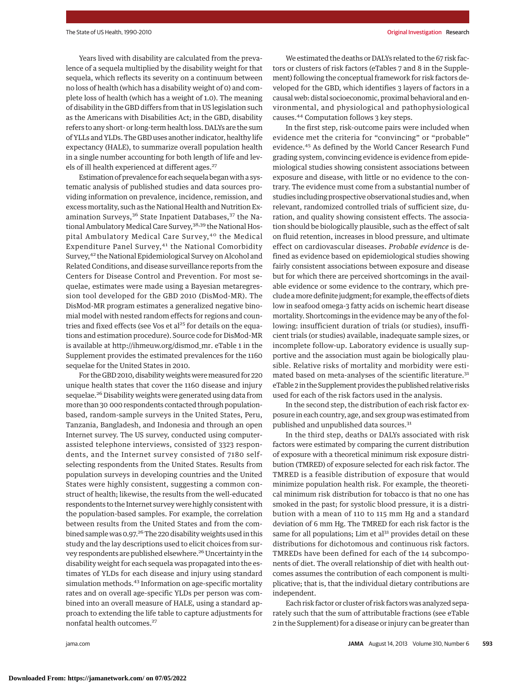Years lived with disability are calculated from the prevalence of a sequela multiplied by the disability weight for that sequela, which reflects its severity on a continuum between no loss of health (which has a disability weight of 0) and complete loss of health (which has a weight of 1.0). The meaning of disability in the GBD differs from that in US legislation such as the Americans with Disabilities Act; in the GBD, disability refers to any short- or long-term health loss. DALYs are the sum of YLLs and YLDs. The GBD uses another indicator, healthy life expectancy (HALE), to summarize overall population health in a single number accounting for both length of life and levels of ill health experienced at different ages.<sup>27</sup>

Estimation of prevalence for each sequela began with a systematic analysis of published studies and data sources providing information on prevalence, incidence, remission, and excessmortality, such as the National Health and Nutrition Examination Surveys,<sup>36</sup> State Inpatient Databases,<sup>37</sup> the National Ambulatory Medical Care Survey, 38,39 the National Hospital Ambulatory Medical Care Survey,<sup>40</sup> the Medical Expenditure Panel Survey,<sup>41</sup> the National Comorbidity Survey,42 the National Epidemiological Survey on Alcohol and Related Conditions, and disease surveillance reports from the Centers for Disease Control and Prevention. For most sequelae, estimates were made using a Bayesian metaregression tool developed for the GBD 2010 (DisMod-MR). The DisMod-MR program estimates a generalized negative binomial model with nested random effects for regions and countries and fixed effects (see Vos et al<sup>25</sup> for details on the equations and estimation procedure). Source code for DisMod-MR is available at http://ihmeuw.org/dismod\_mr. eTable 1 in the Supplement provides the estimated prevalences for the 1160 sequelae for the United States in 2010.

For the GBD 2010, disability weights were measured for 220 unique health states that cover the 1160 disease and injury sequelae.<sup>26</sup> Disability weights were generated using data from more than 30 000 respondents contacted through populationbased, random-sample surveys in the United States, Peru, Tanzania, Bangladesh, and Indonesia and through an open Internet survey. The US survey, conducted using computerassisted telephone interviews, consisted of 3323 respondents, and the Internet survey consisted of 7180 selfselecting respondents from the United States. Results from population surveys in developing countries and the United States were highly consistent, suggesting a common construct of health; likewise, the results from the well-educated respondents to the Internet survey were highly consistent with the population-based samples. For example, the correlation between results from the United States and from the combined sample was 0.97.<sup>26</sup> The 220 disability weights used in this study and the lay descriptions used to elicit choices from survey respondents are published elsewhere.<sup>26</sup> Uncertainty in the disability weight for each sequela was propagated into the estimates of YLDs for each disease and injury using standard simulation methods.<sup>43</sup> Information on age-specific mortality rates and on overall age-specific YLDs per person was combined into an overall measure of HALE, using a standard approach to extending the life table to capture adjustments for nonfatal health outcomes.<sup>27</sup>

We estimated the deaths or DALYs related to the 67 risk factors or clusters of risk factors (eTables 7 and 8 in the Supplement) following the conceptual framework for risk factors developed for the GBD, which identifies 3 layers of factors in a causal web: distal socioeconomic, proximal behavioral and environmental, and physiological and pathophysiological causes.44 Computation follows 3 key steps.

In the first step, risk-outcome pairs were included when evidence met the criteria for "convincing" or "probable" evidence.<sup>45</sup> As defined by the World Cancer Research Fund grading system, convincing evidence is evidence from epidemiological studies showing consistent associations between exposure and disease, with little or no evidence to the contrary. The evidence must come from a substantial number of studies including prospective observational studies and, when relevant, randomized controlled trials of sufficient size, duration, and quality showing consistent effects. The association should be biologically plausible, such as the effect of salt on fluid retention, increases in blood pressure, and ultimate effect on cardiovascular diseases. *Probable evidence* is defined as evidence based on epidemiological studies showing fairly consistent associations between exposure and disease but for which there are perceived shortcomings in the available evidence or some evidence to the contrary, which preclude a more definite judgment; for example, the effects of diets low in seafood omega-3 fatty acids on ischemic heart disease mortality. Shortcomings in the evidence may be any of the following: insufficient duration of trials (or studies), insufficient trials (or studies) available, inadequate sample sizes, or incomplete follow-up. Laboratory evidence is usually supportive and the association must again be biologically plausible. Relative risks of mortality and morbidity were estimated based on meta-analyses of the scientific literature.<sup>31</sup> eTable 2 in the Supplement provides the published relative risks used for each of the risk factors used in the analysis.

In the second step, the distribution of each risk factor exposure in each country, age, and sex group was estimated from published and unpublished data sources.<sup>31</sup>

In the third step, deaths or DALYs associated with risk factors were estimated by comparing the current distribution of exposure with a theoretical minimum risk exposure distribution (TMRED) of exposure selected for each risk factor. The TMRED is a feasible distribution of exposure that would minimize population health risk. For example, the theoretical minimum risk distribution for tobacco is that no one has smoked in the past; for systolic blood pressure, it is a distribution with a mean of 110 to 115 mm Hg and a standard deviation of 6 mm Hg. The TMRED for each risk factor is the same for all populations; Lim et al<sup>31</sup> provides detail on these distributions for dichotomous and continuous risk factors. TMREDs have been defined for each of the 14 subcomponents of diet. The overall relationship of diet with health outcomes assumes the contribution of each component is multiplicative; that is, that the individual dietary contributions are independent.

Each risk factor or cluster of risk factors was analyzed separately such that the sum of attributable fractions (see eTable 2 in the Supplement) for a disease or injury can be greater than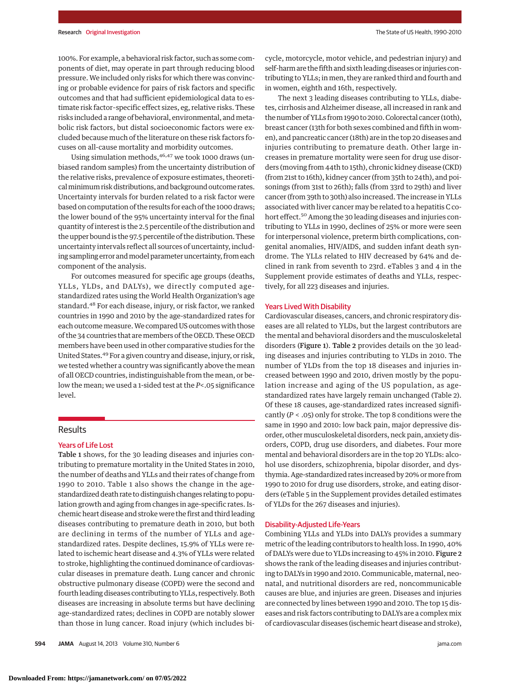100%. For example, a behavioral risk factor, such as some components of diet, may operate in part through reducing blood pressure. We included only risks for which there was convincing or probable evidence for pairs of risk factors and specific outcomes and that had sufficient epidemiological data to estimate risk factor–specific effect sizes, eg, relative risks. These risks included a range of behavioral, environmental, and metabolic risk factors, but distal socioeconomic factors were excluded because much of the literature on these risk factors focuses on all-cause mortality and morbidity outcomes.

Using simulation methods, $46,47$  we took 1000 draws (unbiased random samples) from the uncertainty distribution of the relative risks, prevalence of exposure estimates, theoreticalminimum risk distributions, and background outcome rates. Uncertainty intervals for burden related to a risk factor were based on computation of the results for each of the 1000 draws; the lower bound of the 95% uncertainty interval for the final quantity of interest is the 2.5 percentile of the distribution and the upper bound is the 97.5 percentile of the distribution. These uncertainty intervals reflect all sources of uncertainty, including sampling error and model parameter uncertainty, from each component of the analysis.

For outcomes measured for specific age groups (deaths, YLLs, YLDs, and DALYs), we directly computed agestandardized rates using the World Health Organization's age standard.<sup>48</sup> For each disease, injury, or risk factor, we ranked countries in 1990 and 2010 by the age-standardized rates for each outcome measure. We compared US outcomes with those of the 34 countries that aremembers of the OECD. These OECD members have been used in other comparative studies for the United States.<sup>49</sup> For a given country and disease, injury, or risk, we tested whether a country was significantly above the mean of all OECD countries, indistinguishable from the mean, or below the mean; we used a 1-sided test at the *P*<.05 significance level.

# **Results**

# Years of Life Lost

Table 1 shows, for the 30 leading diseases and injuries contributing to premature mortality in the United States in 2010, the number of deaths and YLLs and their rates of change from 1990 to 2010. Table 1 also shows the change in the agestandardized death rate to distinguish changes relating to population growth and aging from changes in age-specific rates. Ischemic heart disease and stroke were the first and third leading diseases contributing to premature death in 2010, but both are declining in terms of the number of YLLs and agestandardized rates. Despite declines, 15.9% of YLLs were related to ischemic heart disease and 4.3% of YLLs were related to stroke, highlighting the continued dominance of cardiovascular diseases in premature death. Lung cancer and chronic obstructive pulmonary disease (COPD) were the second and fourth leading diseases contributing to YLLs, respectively. Both diseases are increasing in absolute terms but have declining age-standardized rates; declines in COPD are notably slower than those in lung cancer. Road injury (which includes bicycle, motorcycle, motor vehicle, and pedestrian injury) and self-harm are the fifth and sixth leading diseases or injuries contributing to YLLs; in men, they are ranked third and fourth and

in women, eighth and 16th, respectively.

The next 3 leading diseases contributing to YLLs, diabetes, cirrhosis and Alzheimer disease, all increased in rank and the number of YLLs from 1990 to 2010. Colorectal cancer (10th), breast cancer (13th for both sexes combined and fifth in women), and pancreatic cancer (18th) are in the top 20 diseases and injuries contributing to premature death. Other large increases in premature mortality were seen for drug use disorders (moving from 44th to 15th), chronic kidney disease (CKD) (from 21st to 16th), kidney cancer (from 35th to 24th), and poisonings (from 31st to 26th); falls (from 33rd to 29th) and liver cancer (from 39th to 30th) also increased. The increase in YLLs associated with liver cancer may be related to a hepatitis C cohort effect.<sup>50</sup> Among the 30 leading diseases and injuries contributing to YLLs in 1990, declines of 25% or more were seen for interpersonal violence, preterm birth complications, congenital anomalies, HIV/AIDS, and sudden infant death syndrome. The YLLs related to HIV decreased by 64% and declined in rank from seventh to 23rd. eTables 3 and 4 in the Supplement provide estimates of deaths and YLLs, respectively, for all 223 diseases and injuries.

# Years Lived With Disability

Cardiovascular diseases, cancers, and chronic respiratory diseases are all related to YLDs, but the largest contributors are the mental and behavioral disorders and the musculoskeletal disorders (Figure 1). Table 2 provides details on the 30 leading diseases and injuries contributing to YLDs in 2010. The number of YLDs from the top 18 diseases and injuries increased between 1990 and 2010, driven mostly by the population increase and aging of the US population, as agestandardized rates have largely remain unchanged (Table 2). Of these 18 causes, age-standardized rates increased significantly (*P* < .05) only for stroke. The top 8 conditions were the same in 1990 and 2010: low back pain, major depressive disorder, other musculoskeletal disorders, neck pain, anxiety disorders, COPD, drug use disorders, and diabetes. Four more mental and behavioral disorders are in the top 20 YLDs: alcohol use disorders, schizophrenia, bipolar disorder, and dysthymia. Age-standardized rates increased by 20% ormore from 1990 to 2010 for drug use disorders, stroke, and eating disorders (eTable 5 in the Supplement provides detailed estimates of YLDs for the 267 diseases and injuries).

### Disability-Adjusted Life-Years

Combining YLLs and YLDs into DALYs provides a summary metric of the leading contributors to health loss. In 1990, 40% of DALYs were due to YLDs increasing to 45% in 2010. Figure 2 shows the rank of the leading diseases and injuries contributing to DALYs in 1990 and 2010. Communicable, maternal, neonatal, and nutritional disorders are red, noncommunicable causes are blue, and injuries are green. Diseases and injuries are connected by lines between 1990 and 2010. The top 15 diseases and risk factors contributing to DALYs are a complex mix of cardiovascular diseases (ischemic heart disease and stroke),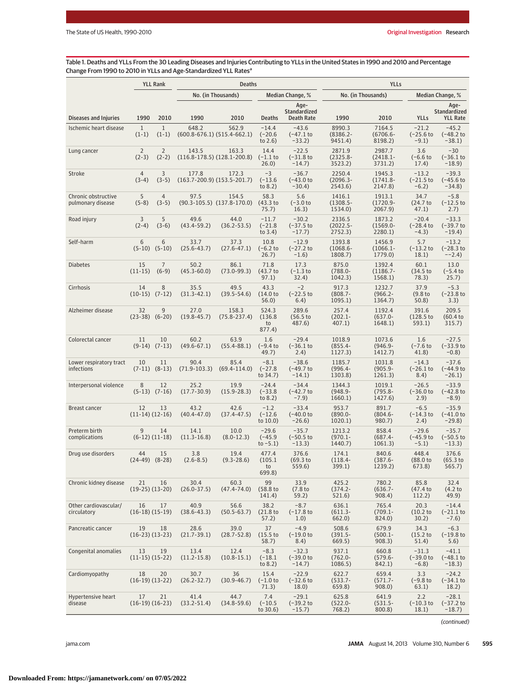Table 1. Deaths and YLLs From the 30 Leading Diseases and Injuries Contributing to YLLs in the United States in 1990 and 2010 and Percentage Change From 1990 to 2010 in YLLs and Age-Standardized YLL Rates<sup>a</sup>

|                                          |                           | <b>YLL Rank</b>           |                          | <b>Deaths</b>                                |                                        |                                                  |                                  |                                  |                                          |                                         |
|------------------------------------------|---------------------------|---------------------------|--------------------------|----------------------------------------------|----------------------------------------|--------------------------------------------------|----------------------------------|----------------------------------|------------------------------------------|-----------------------------------------|
|                                          |                           |                           |                          | No. (in Thousands)                           |                                        | Median Change, %                                 |                                  | No. (in Thousands)               |                                          | Median Change, %                        |
| Diseases and Injuries                    | 1990                      | 2010                      | 1990                     | 2010                                         | <b>Deaths</b>                          | Age-<br><b>Standardized</b><br><b>Death Rate</b> | 1990                             | 2010                             | <b>YLLs</b>                              | Age-<br>Standardized<br><b>YLL Rate</b> |
| Ischemic heart disease                   | $\mathbf{1}$<br>$(1-1)$   | $\mathbf{1}$<br>$(1-1)$   | 648.2                    | 562.9<br>$(600.8 - 676.1) (515.4 - 662.1)$   | $-14.4$<br>$(-20.6)$<br>to $2.6$ )     | $-43.6$<br>$(-47.1)$<br>$-33.2)$                 | 8990.3<br>$(8386.2 -$<br>9451.4) | 7164.5<br>$(6706.6 -$<br>8198.2) | $-21.2$<br>$(-25.6)$<br>$-9.1)$          | $-45.2$<br>$(-48.2)$ to<br>$-38.1)$     |
| Lung cancer                              | $\overline{2}$<br>$(2-3)$ | $\overline{2}$<br>$(2-2)$ | 143.5                    | 163.3<br>$(116.8 - 178.5)$ $(128.1 - 200.8)$ | 14.4<br>$(-1.1)$<br>26.0)              | $-22.5$<br>$(-31.8to$<br>$-14.7)$                | 2871.9<br>$(2325.8 -$<br>3523.2) | 2987.7<br>$(2418.1 -$<br>3731.2) | 3.6<br>$(-6.6)$<br>17.4)                 | $-30$<br>$(-36.1)$<br>$-18.9$           |
| Stroke                                   | $\overline{4}$<br>$(3-4)$ | 3<br>$(3-5)$              | 177.8                    | 172.3<br>$(163.7 - 200.9) (153.5 - 201.7)$   | $-3$<br>$(-13.6)$<br>to $8.2$ )        | $-36.7$<br>$(-43.0)$<br>$-30.4)$                 | 2250.4<br>$(2096.3 -$<br>2543.6) | 1945.3<br>$(1741.8 -$<br>2147.8) | $-13.2$<br>$(-21.5)$<br>$-6.2)$          | $-39.3$<br>$(-45.6)$<br>-34.8)          |
| Chronic obstructive<br>pulmonary disease | 5<br>$(5-8)$              | $\overline{4}$<br>$(3-5)$ | 97.5                     | 154.5<br>$(90.3-105.5)$ $(137.8-170.0)$      | 58.3<br>$(43.3)$ to<br>75.7)           | 5.6<br>$(-3.0)$ to<br>16.3)                      | 1416.1<br>$(1308.5 -$<br>1534.0) | 1913.1<br>$(1720.9 -$<br>2067.9) | 34.7<br>(24.7)<br>47.1)                  | $-5.8$<br>$(-12.5)$<br>2.7)             |
| Road injury                              | 3<br>$(2-4)$              | 5<br>$(3-6)$              | 49.6<br>$(43.4 - 59.2)$  | 44.0<br>$(36.2 - 53.5)$                      | $-11.7$<br>$(-21.8$<br>to $3.4$ )      | $-30.2$<br>$(-37.5)$<br>$-17.7)$                 | 2336.5<br>$(2022.5 -$<br>2752.3) | 1873.2<br>$(1569.0 -$<br>2280.1) | $-20.4$<br>$(-28.4)$<br>$-4.3)$          | $-33.3$<br>$(-39.7)$ to<br>$-19.4)$     |
| Self-harm                                | 6<br>$(5-10)$             | 6<br>$(5-10)$             | 33.7<br>$(25.6 - 43.7)$  | 37.3<br>$(27.6 - 47.1)$                      | 10.8<br>$(-6.2)$<br>26.7)              | $-12.9$<br>$(-27.2)$ to<br>$-1.6)$               | 1393.8<br>$(1068.6 -$<br>1808.7) | 1456.9<br>$(1066.1 -$<br>1779.0) | 5.7<br>$(-13.2)$ to<br>18.1)             | $-13.2$<br>$(-28.3)$ to<br>$-2.4$       |
| <b>Diabetes</b>                          | 15<br>$(11-15)$           | $\overline{7}$<br>$(6-9)$ | 50.2<br>$(45.3 - 60.0)$  | 86.1<br>$(73.0 - 99.3)$                      | 71.8<br>(43.7 to<br>97.1)              | 17.3<br>$(-1.3)$<br>32.4)                        | 875.0<br>$(788.0 -$<br>1042.3)   | 1392.4<br>$(1186.7 -$<br>1568.1) | 60.1<br>(34.5)<br>78.3)                  | 13.0<br>$(-5.4t)$<br>25.7)              |
| Cirrhosis                                | 14<br>$(10-15)$ $(7-12)$  | 8                         | 35.5<br>$(31.3 - 42.1)$  | 49.5<br>$(39.5 - 54.6)$                      | 43.3<br>(14.0 <sub>to</sub> )<br>56.0) | $-2$<br>$(-22.5)$ to<br>6.4)                     | 917.3<br>$(808.7 -$<br>1095.1)   | 1232.7<br>$(966.2 -$<br>1364.7)  | 37.9<br>(9.8 <sub>to</sub> )<br>50.8)    | $-5.3$<br>$(-23.8)$ to<br>3.3)          |
| Alzheimer disease                        | 32<br>$(23-38)$ $(6-20)$  | 9                         | 27.0<br>$(19.8 - 45.7)$  | 158.3<br>$(75.8 - 237.4)$                    | 524.3<br>(136.8)<br>to<br>877.4)       | 289.6<br>(56.5)<br>487.6)                        | 257.4<br>$(202.1 -$<br>407.1)    | 1192.4<br>$(637.0 -$<br>1648.1)  | 391.6<br>(128.5 to<br>593.1)             | 209.5<br>(60.4 to<br>315.7)             |
| Colorectal cancer                        | 11<br>$(9-14)$ $(7-13)$   | 10                        | 60.2<br>$(49.6 - 67.1)$  | 63.9<br>$(55.4 - 88.1)$                      | 1.6<br>$(-9.4)$<br>49.7)               | $-29.4$<br>$(-36.1)$<br>2.4)                     | 1018.9<br>$(855.4 -$<br>1127.3)  | 1073.6<br>$(946.9 -$<br>1412.7)  | 1.6<br>$(-7.6)$<br>41.8)                 | $-27.5$<br>$(-33.9)$ to<br>$-0.8$ )     |
| Lower respiratory tract<br>infections    | 10<br>$(7-11)$ $(8-13)$   | 11                        | 90.4<br>$(71.9 - 103.3)$ | 85.4<br>$(69.4 - 114.0)$                     | $-8.1$<br>$(-27.8)$<br>to 34.7)        | $-38.6$<br>$(-49.7)$<br>$-14.1)$                 | 1185.7<br>$(996.4 -$<br>1303.8)  | 1031.8<br>$(905.9 -$<br>1261.3)  | $-14.3$<br>$(-26.1$ to<br>8.4)           | $-37.6$<br>$(-44.9)$<br>$-26.1)$        |
| Interpersonal violence                   | 8<br>$(5-13)$ $(7-16)$    | 12                        | 25.2<br>$(17.7 - 30.9)$  | 19.9<br>$(15.9 - 28.3)$                      | $-24.4$<br>$(-33.8)$<br>to $8.2$ )     | $-34.4$<br>$(-42.7)$<br>$-7.9)$                  | 1344.3<br>$(948.9 -$<br>1660.1)  | 1019.1<br>$(795.8 -$<br>1427.6)  | $-26.5$<br>$(-36.0)$<br>2.9)             | $-33.9$<br>$(-42.8)$<br>$-8.9)$         |
| <b>Breast cancer</b>                     | 12<br>$(11-14)$ $(12-16)$ | 13                        | 43.2<br>$(40.4 - 47.0)$  | 42.6<br>$(37.4 - 47.5)$                      | $-1.2$<br>$(-12.6)$<br>to 10.0)        | $-33.4$<br>$(-40.0)$<br>$-26.6$                  | 953.7<br>$(890.0 -$<br>1020.1)   | 891.7<br>(804.6-<br>980.7)       | $-6.5$<br>$(-14.3)$<br>2.4)              | $-35.9$<br>$(-41.0)$<br>$-29.8$         |
| Preterm birth<br>complications           | 9<br>$(6-12)$ $(11-18)$   | 14                        | 14.1<br>$(11.3 - 16.8)$  | 10.0<br>$(8.0-12.3)$                         | $-29.6$<br>$(-45.9)$<br>to $-5.1$ )    | $-35.7$<br>$(-50.5)$<br>$-13.3)$                 | 1213.2<br>$(970.1 -$<br>1440.7)  | 858.4<br>$(687.4 -$<br>1061.3)   | $-29.6$<br>$(-45.9)$<br>$-5.1)$          | $-35.7$<br>$(-50.5)$<br>$-13.3)$        |
| Drug use disorders                       | 44<br>$(24-49)$ $(8-28)$  | 15                        | 3.8<br>$(2.6 - 8.5)$     | 19.4<br>$(9.3 - 28.6)$                       | 477.4<br>(105.1)<br>to<br>699.8)       | 376.6<br>(69.3)<br>559.6)                        | 174.1<br>$(118.4 -$<br>399.1)    | 840.6<br>$(387.6 -$<br>1239.2)   | 448.4<br>(88.0 <sub>to</sub> )<br>6/3.8) | 376.6<br>(65.3)<br>565.7)               |
| Chronic kidney disease                   | 21<br>$(19-25)$ $(13-20)$ | 16                        | 30.4<br>$(26.0 - 37.5)$  | 60.3<br>$(47.4 - 74.0)$                      | 99<br>(58.8 to<br>141.4)               | 33.9<br>(7.8 to<br>59.2)                         | 425.2<br>$(374.2 -$<br>521.6)    | 780.2<br>$(636.7 -$<br>908.4)    | 85.8<br>(47.4 to<br>112.2)               | 32.4<br>(4.2 <sub>to</sub> )<br>49.9)   |
| Other cardiovascular/<br>circulatory     | 16<br>$(16-18)(15-19)$    | 17                        | 40.9<br>$(38.6 - 43.3)$  | 56.6<br>$(50.5 - 63.7)$                      | 38.2<br>(21.8 <sub>to</sub><br>57.2)   | $-8.7$<br>$(-17.8)$ to<br>1.0)                   | 636.1<br>$(611.3 -$<br>662.0)    | 765.4<br>(709.1-<br>824.0)       | 20.3<br>(10.2 <sub>to</sub><br>30.2)     | $-14.4$<br>$(-21.1)$<br>$-7.6)$         |
| Pancreatic cancer                        | 19<br>$(16-23)(13-23)$    | 18                        | 28.6<br>$(21.7 - 39.1)$  | 39.0<br>$(28.7 - 52.8)$                      | 37<br>(15.5t)<br>58.7)                 | $-4.9$<br>$(-19.0)$<br>8.4)                      | 508.6<br>$(391.5 -$<br>669.5)    | 679.9<br>(500.1-<br>908.3)       | 34.3<br>(15.2)<br>51.4)                  | $-6.3$<br>$(-19.8)$<br>5.6)             |
| Congenital anomalies                     | 13<br>$(11-15)(15-22)$    | 19                        | 13.4<br>$(11.2 - 15.8)$  | 12.4<br>$(10.8 - 15.1)$                      | $-8.3$<br>$(-18.1$<br>to 8.2)          | $-32.3$<br>$(-39.0)$ to<br>$-14.7)$              | 937.1<br>$(762.0 -$<br>1086.5)   | 660.8<br>$(579.6 -$<br>842.1)    | $-31.3$<br>$(-39.0 to$<br>$-6.8)$        | $-41.1$<br>$(-48.1)$<br>$-18.3)$        |
| Cardiomyopathy                           | 18<br>$(16-19)$ $(13-22)$ | 20                        | 30.7<br>$(26.2 - 32.7)$  | 36<br>$(30.9 - 46.7)$                        | 15.4<br>$(-1.0)$<br>71.3)              | $-22.9$<br>$(-32.6)$<br>18.0)                    | 622.7<br>$(533.7 -$<br>659.8)    | 659.4<br>(571.7-<br>908.0)       | 3.3<br>$(-9.8)$<br>63.1)                 | $-24.2$<br>$(-34.1$ to<br>18.2)         |
| Hypertensive heart<br>disease            | 17<br>$(16-19)(16-23)$    | 21                        | 41.4<br>$(33.2 - 51.4)$  | 44.7<br>$(34.8 - 59.6)$                      | 7.4<br>$(-10.5)$<br>to 30.6)           | $-29.1$<br>$(-39.2)$<br>$-15.7)$                 | 625.8<br>$(522.0 -$<br>768.2)    | 641.9<br>$(531.5 -$<br>800.8)    | 2.2<br>$(-10.3)$ to<br>18.1)             | $-28.1$<br>$(-37.2)$<br>$-18.7)$        |

(continued)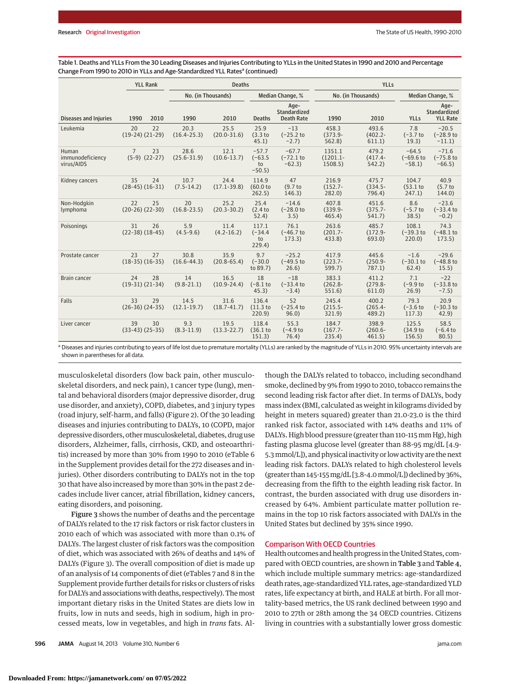Table 1. Deaths and YLLs From the 30 Leading Diseases and Injuries Contributing to YLLs in the United States in 1990 and 2010 and Percentage Change From 1990 to 2010 in YLLs and Age-Standardized YLL Rates<sup>a</sup> (continued)

|                                         | <b>YLL Rank</b>                           |                         | <b>Deaths</b>           |                                          |                                           | <b>YLLs</b>                      |                               |                                 |                                                |  |  |  |  |
|-----------------------------------------|-------------------------------------------|-------------------------|-------------------------|------------------------------------------|-------------------------------------------|----------------------------------|-------------------------------|---------------------------------|------------------------------------------------|--|--|--|--|
|                                         |                                           | No. (in Thousands)      |                         |                                          | Median Change, %                          |                                  | No. (in Thousands)            |                                 | Median Change, %                               |  |  |  |  |
| <b>Diseases and Injuries</b>            | 2010<br>1990                              | 1990                    | 2010                    | <b>Deaths</b>                            | Age-<br>Standardized<br><b>Death Rate</b> | 1990                             | 2010                          | <b>YLLs</b>                     | Age-<br><b>Standardized</b><br><b>YLL Rate</b> |  |  |  |  |
| Leukemia                                | 20<br>22<br>$(19-24)$ $(21-29)$           | 20.3<br>$(16.4 - 25.3)$ | 25.5<br>$(20.0 - 31.6)$ | 25.9<br>(3.3)<br>45.1)                   | $-13$<br>$(-25.2)$<br>$-2.7)$             | 458.3<br>$(373.9 -$<br>562.8)    | 493.6<br>$(402.2 -$<br>611.1) | 7.8<br>$(-3.7)$<br>19.3)        | $-20.5$<br>$(-28.9)$<br>$-11.1)$               |  |  |  |  |
| Human<br>immunodeficiency<br>virus/AIDS | 23<br>$\overline{7}$<br>$(5-9)$ $(22-27)$ | 28.6<br>$(25.6 - 31.9)$ | 12.1<br>$(10.6 - 13.7)$ | $-57.7$<br>$(-63.5)$<br>to<br>$-50.5$    | $-67.7$<br>$(-72.1)$<br>$-62.3$           | 1351.1<br>$(1201.1 -$<br>1508.5) | 479.2<br>$(417.4 -$<br>542.2) | $-64.5$<br>$(-69.6)$<br>$-58.1$ | $-71.6$<br>$(-75.8)$<br>$-66.5$                |  |  |  |  |
| Kidney cancers                          | 24<br>35<br>$(28-45)$ $(16-31)$           | 10.7<br>$(7.5 - 14.2)$  | 24.4<br>$(17.1 - 39.8)$ | 114.9<br>(60.0 <sub>to</sub> )<br>262.5) | 47<br>(9.7)<br>146.3)                     | 216.9<br>$(152.7 -$<br>282.0)    | 475.7<br>$(334.5 -$<br>796.4) | 104.7<br>$(53.1$ to<br>247.1)   | 40.9<br>(5.7)<br>144.0)                        |  |  |  |  |
| Non-Hodakin<br>lymphoma                 | 25<br>22<br>$(20-26)$ $(22-30)$           | 20<br>$(16.8 - 23.5)$   | 25.2<br>$(20.3 - 30.2)$ | 25.4<br>(2.4 <sub>to</sub> )<br>52.4)    | $-14.6$<br>$(-28.0)$<br>3.5)              | 407.8<br>$(339.9 -$<br>465.4)    | 451.6<br>$(375.7 -$<br>541.7) | 8.6<br>$(-5.7)$<br>38.5)        | $-23.6$<br>$(-33.4)$<br>$-0.2$                 |  |  |  |  |
| Poisonings                              | 26<br>31<br>$(22-38)$ $(18-45)$           | 5.9<br>$(4.5 - 9.6)$    | 11.4<br>$(4.2 - 16.2)$  | 117.1<br>$(-34.4)$<br>to<br>229.4)       | 76.1<br>$(-46.7)$<br>173.3)               | 263.6<br>$(201.7 -$<br>433.8)    | 485.7<br>$(172.9 -$<br>693.0) | 108.1<br>$(-39.3)$ to<br>220.0  | 74.3<br>$(-48.1)$<br>173.5)                    |  |  |  |  |
| Prostate cancer                         | 27<br>23<br>$(18-35)(16-35)$              | 30.8<br>$(16.6 - 44.3)$ | 35.9<br>$(20.8 - 65.4)$ | 9.7<br>$(-30.0)$<br>to 89.7)             | $-25.2$<br>$(-49.5)$<br>26.6)             | 417.9<br>$(223.7 -$<br>599.7)    | 445.6<br>$(250.9 -$<br>787.1) | $-1.6$<br>$(-30.1)$<br>62.4)    | $-29.6$<br>$(-48.8)$ to<br>15.5)               |  |  |  |  |
| <b>Brain cancer</b>                     | 24<br>28<br>$(19-31)$ $(21-34)$           | 14<br>$(9.8 - 21.1)$    | 16.5<br>$(10.9 - 24.4)$ | 18<br>$(-8.1)$<br>45.3)                  | $-18$<br>$(-33.4)$<br>$-3.4)$             | 383.3<br>$(262.8 -$<br>551.6)    | 411.2<br>$(279.8 -$<br>611.0) | 7.1<br>$(-9.9)$ to<br>26.9)     | $-22$<br>$(-33.8)$<br>$-7.5)$                  |  |  |  |  |
| Falls                                   | 29<br>33<br>$(26-36)$ $(24-35)$           | 14.5<br>$(12.1 - 19.7)$ | 31.6<br>$(18.7 - 41.7)$ | 136.4<br>(11.3 to<br>220.9               | 52<br>$(-25.4)$<br>96.0)                  | 245.4<br>$(215.5 -$<br>321.9)    | 400.2<br>$(265.4 -$<br>489.2) | 79.3<br>$(-3.6)$<br>117.3)      | 20.9<br>$(-30.3)$<br>42.9)                     |  |  |  |  |
| Liver cancer                            | 30<br>39<br>$(33-43)$ $(25-35)$           | 9.3<br>$(8.3 - 11.9)$   | 19.5<br>$(13.3 - 22.7)$ | 118.4<br>$(36.1$ to<br>151.3)            | 55.3<br>$(-4.9to)$<br>76.4)               | 184.7<br>$(167.7 -$<br>235.4)    | 398.9<br>$(260.6 -$<br>461.5) | 125.5<br>(34.9 to<br>156.5)     | 58.5<br>$(-6.4)$<br>80.5)                      |  |  |  |  |

a Diseases and injuries contributing to years of life lost due to premature mortality (YLLs) are ranked by the magnitude of YLLs in 2010. 95% uncertainty intervals are shown in parentheses for all data.

musculoskeletal disorders (low back pain, other musculoskeletal disorders, and neck pain), 1 cancer type (lung), mental and behavioral disorders (major depressive disorder, drug use disorder, and anxiety), COPD, diabetes, and 3 injury types (road injury, self-harm, and falls) (Figure 2). Of the 30 leading diseases and injuries contributing to DALYs, 10 (COPD, major depressive disorders, other musculoskeletal, diabetes, drug use disorders, Alzheimer, falls, cirrhosis, CKD, and osteoarthritis) increased by more than 30% from 1990 to 2010 (eTable 6 in the Supplement provides detail for the 272 diseases and injuries). Other disorders contributing to DALYs not in the top 30 that have also increased by more than 30% in the past 2 decades include liver cancer, atrial fibrillation, kidney cancers, eating disorders, and poisoning.

Figure 3 shows the number of deaths and the percentage of DALYs related to the 17 risk factors or risk factor clusters in 2010 each of which was associated with more than 0.1% of DALYs. The largest cluster of risk factors was the composition of diet, which was associated with 26% of deaths and 14% of DALYs (Figure 3). The overall composition of diet is made up of an analysis of 14 components of diet (eTables 7 and 8 in the Supplement provide further details for risks or clusters of risks for DALYs and associations with deaths, respectively). The most important dietary risks in the United States are diets low in fruits, low in nuts and seeds, high in sodium, high in processed meats, low in vegetables, and high in *trans* fats. Although the DALYs related to tobacco, including secondhand smoke, declined by 9% from 1990 to 2010, tobacco remains the second leading risk factor after diet. In terms of DALYs, body mass index (BMI, calculated as weight in kilograms divided by height in meters squared) greater than 21.0-23.0 is the third ranked risk factor, associated with 14% deaths and 11% of DALYs. High blood pressure (greater than 110-115mm Hg), high fasting plasma glucose level (greater than 88-95 mg/dL [4.9- 5.3mmol/L]), and physical inactivity or low activity are the next leading risk factors. DALYs related to high cholesterol levels (greater than 145-155mg/dL [3.8-4.0mmol/L]) declined by 36%, decreasing from the fifth to the eighth leading risk factor. In contrast, the burden associated with drug use disorders increased by 64%. Ambient particulate matter pollution remains in the top 10 risk factors associated with DALYs in the United States but declined by 35% since 1990.

#### Comparison With OECD Countries

Health outcomes and health progress in the United States, compared with OECD countries, are shown in Table 3 and Table 4, which include multiple summary metrics: age-standardized death rates, age-standardized YLL rates, age-standardized YLD rates, life expectancy at birth, and HALE at birth. For all mortality-based metrics, the US rank declined between 1990 and 2010 to 27th or 28th among the 34 OECD countries. Citizens living in countries with a substantially lower gross domestic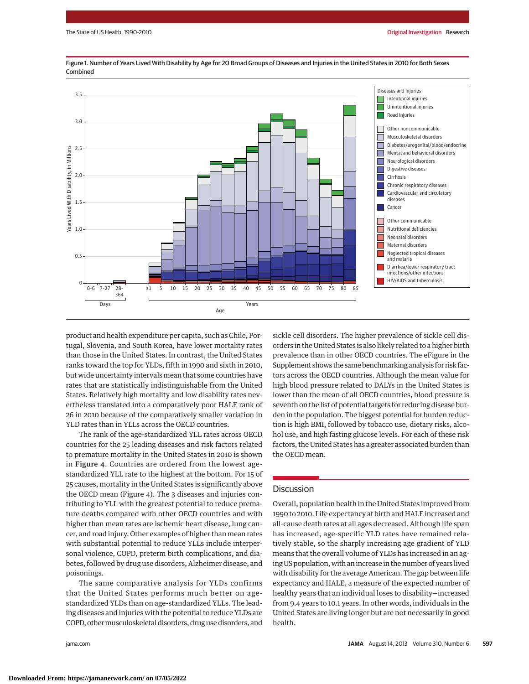

Figure 1. Number of Years Lived With Disability by Age for 20 Broad Groups of Diseases and Injuries in the United States in 2010 for Both Sexes Combined

product and health expenditure per capita, such as Chile, Portugal, Slovenia, and South Korea, have lower mortality rates than those in the United States. In contrast, the United States ranks toward the top for YLDs, fifth in 1990 and sixth in 2010, but wide uncertainty intervals mean that some countries have rates that are statistically indistinguishable from the United States. Relatively high mortality and low disability rates nevertheless translated into a comparatively poor HALE rank of 26 in 2010 because of the comparatively smaller variation in YLD rates than in YLLs across the OECD countries.

The rank of the age-standardized YLL rates across OECD countries for the 25 leading diseases and risk factors related to premature mortality in the United States in 2010 is shown in Figure 4. Countries are ordered from the lowest agestandardized YLL rate to the highest at the bottom. For 15 of 25 causes, mortality in the United States is significantly above the OECD mean (Figure 4). The 3 diseases and injuries contributing to YLL with the greatest potential to reduce premature deaths compared with other OECD countries and with higher than mean rates are ischemic heart disease, lung cancer, and road injury. Other examples of higher than mean rates with substantial potential to reduce YLLs include interpersonal violence, COPD, preterm birth complications, and diabetes, followed by drug use disorders, Alzheimer disease, and poisonings.

The same comparative analysis for YLDs confirms that the United States performs much better on agestandardized YLDs than on age-standardized YLLs. The leading diseases and injuries with the potential to reduce YLDs are COPD, other musculoskeletal disorders, drug use disorders, and

sickle cell disorders. The higher prevalence of sickle cell disorders in the United States is also likely related to a higher birth prevalence than in other OECD countries. The eFigure in the Supplement shows the same benchmarking analysis for risk factors across the OECD countries. Although the mean value for high blood pressure related to DALYs in the United States is lower than the mean of all OECD countries, blood pressure is seventh on the list of potential targets for reducing disease burden in the population. The biggest potential for burden reduction is high BMI, followed by tobacco use, dietary risks, alcohol use, and high fasting glucose levels. For each of these risk factors, the United States has a greater associated burden than the OECD mean.

# **Discussion**

Overall, population health in the United States improved from 1990 to 2010. Life expectancy at birth and HALE increased and all-cause death rates at all ages decreased. Although life span has increased, age-specific YLD rates have remained relatively stable, so the sharply increasing age gradient of YLD means that the overall volume of YLDs has increased in an aging US population, with an increase in the number of years lived with disability for the average American. The gap between life expectancy and HALE, a measure of the expected number of healthy years that an individual loses to disability—increased from 9.4 years to 10.1 years. In other words, individuals in the United States are living longer but are not necessarily in good health.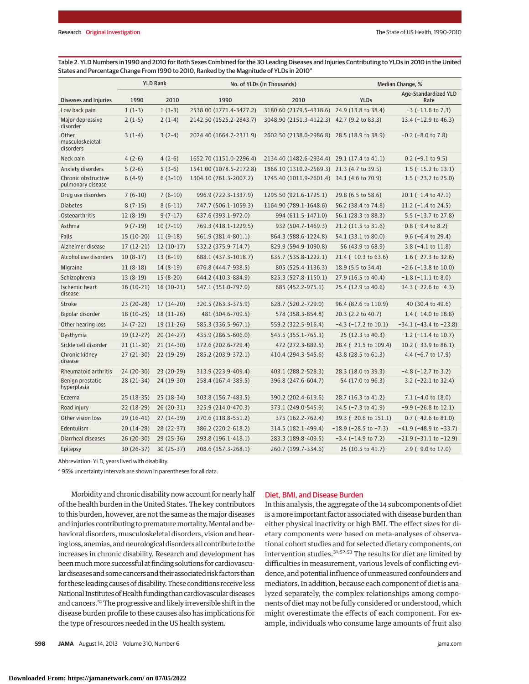Table 2. YLD Numbers in 1990 and 2010 for Both Sexes Combined for the 30 Leading Diseases and Injuries Contributing to YLDs in 2010 in the United States and Percentage Change From 1990 to 2010, Ranked by the Magnitude of YLDs in 2010<sup>a</sup>

|                                          |             | <b>YLD Rank</b> |                         | No. of YLDs (in Thousands)                  | Median Change, %               |                                     |  |  |  |
|------------------------------------------|-------------|-----------------|-------------------------|---------------------------------------------|--------------------------------|-------------------------------------|--|--|--|
| <b>Diseases and Injuries</b>             | 1990        | 2010            | 1990                    | 2010                                        | <b>YLDs</b>                    | <b>Age-Standardized YLD</b><br>Rate |  |  |  |
| Low back pain                            | $1(1-3)$    | $1(1-3)$        | 2538.00 (1771.4-3427.2) | 3180.60 (2179.5-4318.6) 24.9 (13.8 to 38.4) |                                | $-3$ ( $-11.6$ to 7.3)              |  |  |  |
| Major depressive<br>disorder             | $2(1-5)$    | $2(1-4)$        | 2142.50 (1525.2-2843.7) | 3048.90 (2151.3-4122.3) 42.7 (9.2 to 83.3)  |                                | 13.4 $(-12.9 \text{ to } 46.3)$     |  |  |  |
| Other<br>musculoskeletal<br>disorders    | $3(1-4)$    | $3(2-4)$        | 2024.40 (1664.7-2311.9) | 2602.50 (2138.0-2986.8) 28.5 (18.9 to 38.9) |                                | $-0.2$ ( $-8.0$ to 7.8)             |  |  |  |
| Neck pain                                | $4(2-6)$    | $4(2-6)$        | 1652.70 (1151.0-2296.4) | 2134.40 (1482.6-2934.4) 29.1 (17.4 to 41.1) |                                | $0.2$ (-9.1 to 9.5)                 |  |  |  |
| Anxiety disorders                        | $5(2-6)$    | $5(3-6)$        | 1541.00 (1078.5-2172.8) | 1866.10 (1310.2-2569.3) 21.3 (4.7 to 39.5)  |                                | $-1.5$ ( $-15.2$ to 13.1)           |  |  |  |
| Chronic obstructive<br>pulmonary disease | $6(4-9)$    | $6(3-10)$       | 1304.10 (761.3-2007.2)  | 1745.40 (1011.9-2601.4) 34.1 (4.6 to 70.9)  |                                | $-1.5$ ( $-23.2$ to 25.0)           |  |  |  |
| Drug use disorders                       | $7(6-10)$   | $7(6-10)$       | 996.9 (722.3-1337.9)    | 1295.50 (921.6-1725.1)                      | 29.8 (6.5 to 58.6)             | 20.1 $(-1.4 \text{ to } 47.1)$      |  |  |  |
| <b>Diabetes</b>                          | $8(7-15)$   | $8(6-11)$       | 747.7 (506.1-1059.3)    | 1164.90 (789.1-1648.6)                      | 56.2 (38.4 to 74.8)            | 11.2 $(-1.4 \text{ to } 24.5)$      |  |  |  |
| Osteoarthritis                           | $12(8-19)$  | $9(7-17)$       | 637.6 (393.1-972.0)     | 994 (611.5-1471.0)                          | 56.1 (28.3 to 88.3)            | 5.5 $(-13.7$ to 27.8)               |  |  |  |
| Asthma                                   | $9(7-19)$   | $10(7-19)$      | 769.3 (418.1-1229.5)    | 932 (504.7-1469.3)                          | 21.2 (11.5 to 31.6)            | $-0.8$ ( $-9.4$ to 8.2)             |  |  |  |
| Falls                                    | $15(10-20)$ | $11(9-18)$      | 561.9 (381.4-801.1)     | 864.3 (588.6-1224.8)                        | 54.1 (33.1 to 80.0)            | $9.6$ (-6.4 to 29.4)                |  |  |  |
| Alzheimer disease                        | $17(12-21)$ | $12(10-17)$     | 532.2 (375.9-714.7)     | 829.9 (594.9-1090.8)                        | 56 (43.9 to 68.9)              | $3.8$ (-4.1 to 11.8)                |  |  |  |
| Alcohol use disorders                    | $10(8-17)$  | $13(8-19)$      | 688.1 (437.3-1018.7)    | 835.7 (535.8-1222.1)                        | $21.4$ (-10.3 to 63.6)         | $-1.6$ ( $-27.3$ to 32.6)           |  |  |  |
| Migraine                                 | $11(8-18)$  | $14(8-19)$      | 676.8 (444.7-938.5)     | 805 (525.4-1136.3)                          | 18.9 (5.5 to 34.4)             | $-2.6$ ( $-13.8$ to 10.0)           |  |  |  |
| Schizophrenia                            | $13(8-19)$  | $15(8-20)$      | 644.2 (410.3-884.9)     | 825.3 (527.8-1150.1)                        | 27.9 (16.5 to 40.4)            | $-1.8$ ( $-11.1$ to 8.0)            |  |  |  |
| <b>Ischemic heart</b><br>disease         | $16(10-21)$ | $16(10-21)$     | 547.1 (351.0-797.0)     | 685 (452.2-975.1)                           | 25.4 (12.9 to 40.6)            | $-14.3$ (-22.6 to -4.3)             |  |  |  |
| Stroke                                   | $23(20-28)$ | $17(14-20)$     | 320.5 (263.3-375.9)     | 628.7 (520.2-729.0)                         | 96.4 (82.6 to 110.9)           | 40 (30.4 to 49.6)                   |  |  |  |
| Bipolar disorder                         | $18(10-25)$ | $18(11-26)$     | 481 (304.6-709.5)       | 578 (358.3-854.8)                           | 20.3 (2.2 to 40.7)             | 1.4 $(-14.0 \text{ to } 18.8)$      |  |  |  |
| Other hearing loss                       | $14(7-22)$  | $19(11-26)$     | 585.3 (336.5-967.1)     | 559.2 (322.5-916.4)                         | $-4.3$ ( $-17.2$ to 10.1)      | $-34.1$ ( $-43.4$ to $-23.8$ )      |  |  |  |
| Dysthymia                                | $19(12-27)$ | $20(14-27)$     | 435.9 (286.5-606.0)     | 545.5 (355.1-765.3)                         | 25 (12.3 to 40.3)              | $-1.2$ ( $-11.4$ to 10.7)           |  |  |  |
| Sickle cell disorder                     | $21(11-30)$ | $21(14-30)$     | 372.6 (202.6-729.4)     | 472 (272.3-882.5)                           | 28.4 (-21.5 to 109.4)          | 10.2 (-33.9 to 86.1)                |  |  |  |
| Chronic kidney<br>disease                | $27(21-30)$ | $22(19-29)$     | 285.2 (203.9-372.1)     | 410.4 (294.3-545.6)                         | 43.8 (28.5 to 61.3)            | 4.4 $(-6.7 \text{ to } 17.9)$       |  |  |  |
| Rheumatoid arthritis                     | 24 (20-30)  | 23 (20-29)      | 313.9 (223.9-409.4)     | 403.1 (288.2-528.3)                         | 28.3 (18.0 to 39.3)            | $-4.8$ ( $-12.7$ to 3.2)            |  |  |  |
| Benign prostatic<br>hyperplasia          | $28(21-34)$ | 24 (19-30)      | 258.4 (167.4-389.5)     | 396.8 (247.6-604.7)                         | 54 (17.0 to 96.3)              | $3.2$ (-22.1 to 32.4)               |  |  |  |
| Eczema                                   | $25(18-35)$ | $25(18-34)$     | 303.8 (156.7-483.5)     | 390.2 (202.4-619.6)                         | 28.7 (16.3 to 41.2)            | 7.1 $(-4.0 \text{ to } 18.0)$       |  |  |  |
| Road injury                              | $22(18-29)$ | $26(20-31)$     | 325.9 (214.0-470.3)     | 373.1 (249.0-545.9)                         | 14.5 $(-7.3 \text{ to } 41.9)$ | $-9.9$ ( $-26.8$ to 12.1)           |  |  |  |
| Other vision loss                        | 29 (16-41)  | 27 (14-39)      | 270.6 (118.8-551.2)     | 375 (162.2-762.4)                           | 39.3 (-20.6 to 151.1)          | $0.7$ (-42.6 to 81.0)               |  |  |  |
| Edentulism                               | 20 (14-28)  | 28 (22-37)      | 386.2 (220.2-618.2)     | 314.5 (182.1-499.4)                         | $-18.9$ ( $-28.5$ to $-7.3$ )  | $-41.9$ (-48.9 to -33.7)            |  |  |  |
| Diarrheal diseases                       | 26 (20-30)  | 29 (25-36)      | 293.8 (196.1-418.1)     | 283.3 (189.8-409.5)                         | $-3.4$ ( $-14.9$ to 7.2)       | $-21.9$ ( $-31.1$ to $-12.9$ )      |  |  |  |
| Epilepsy                                 | 30 (26-37)  | 30 (25-37)      | 208.6 (157.3-268.1)     | 260.7 (199.7-334.6)                         | 25 (10.5 to 41.7)              | 2.9 (-9.0 to 17.0)                  |  |  |  |

Abbreviation: YLD, years lived with disability.

a 95% uncertainty intervals are shown in parentheses for all data.

Morbidity and chronic disability now account for nearly half of the health burden in the United States. The key contributors to this burden, however, are not the same as the major diseases and injuries contributing to premature mortality. Mental and behavioral disorders, musculoskeletal disorders, vision and hearing loss, anemias, and neurological disorders all contribute to the increases in chronic disability. Research and development has been much more successful at finding solutions for cardiovascular diseases and some cancers and their associated risk factors than for these leading causes of disability. These conditions receive less National Institutes of Health funding than cardiovascular diseases and cancers.<sup>51</sup> The progressive and likely irreversible shift in the disease burden profile to these causes also has implications for the type of resources needed in the US health system.

### Diet, BMI, and Disease Burden

In this analysis, the aggregate of the 14 subcomponents of diet is amore important factor associated with disease burden than either physical inactivity or high BMI. The effect sizes for dietary components were based on meta-analyses of observational cohort studies and for selected dietary components, on intervention studies.31,52,53 The results for diet are limited by difficulties in measurement, various levels of conflicting evidence, and potential influence of unmeasured confounders and mediators. In addition, because each component of diet is analyzed separately, the complex relationships among components of diet may not be fully considered or understood, which might overestimate the effects of each component. For example, individuals who consume large amounts of fruit also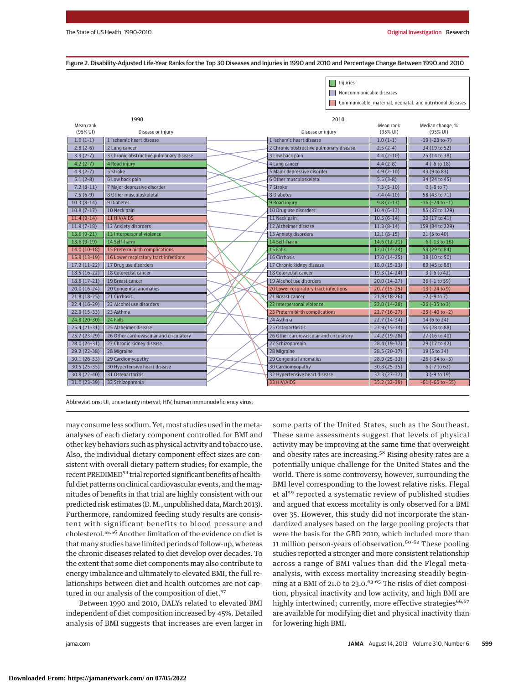#### Figure 2. Disability-Adjusted Life-Year Ranks for the Top 30 Diseases and Injuries in 1990 and 2010 and Percentage Change Between 1990 and 2010

 $\Box$ 

| Noncommunicable diseases<br>Communicable, maternal, neonatal, and nutritional diseases<br>1990<br>2010<br>Mean rank<br>Median change, %<br>Mean rank<br>(95% UI)<br>$(95%$ UI)<br>Disease or injury<br>Disease or injury<br>$(95\%$ UI)<br>$-19(-23 to -7)$<br>$1.0(1-1)$<br>1 Ischemic heart disease<br>1 Ischemic heart disease<br>$1.0(1-1)$<br>$2.8(2-6)$<br>2 Lung cancer<br>2 Chronic obstructive pulmonary disease<br>$2.5(2-4)$<br>34 (19 to 52)<br>$3.9(2-7)$<br>3 Chronic obstructive pulmonary disease<br>3 Low back pain<br>$4.4(2-10)$<br>25 (14 to 38)<br>$4.2(2-7)$<br>4 Road injury<br>$4.4(2-8)$<br>$4(-6 to 18)$<br>4 Lung cancer<br>$4.9(2-7)$<br>5 Stroke<br>5 Major depressive disorder<br>$4.9(2-10)$<br>43 (9 to 83)<br>6 Other musculoskeletal<br>$5.1(2-8)$<br>6 Low back pain<br>$5.5(3-8)$<br>34 (24 to 45)<br>$7.2(3-11)$<br>7 Major depressive disorder<br>7 Stroke<br>$7.3(5-10)$<br>$0$ (-8 to 7)<br>$7.5(6-9)$<br>58 (43 to 71)<br>8 Other musculoskeletal<br>$7.4(4-10)$<br>8 Diabetes<br>$10.3(8-14)$<br>9 Diabetes<br>9 Road injury<br>$9.8(7-13)$<br>$-16$ ( $-24$ to $-1$ )<br>$10.8(7-17)$<br>10 Drug use disorders<br>$10.4(6-13)$<br>85 (37 to 129)<br>10 Neck pain<br>11 HIV/AIDS<br>11 Neck pain<br>29 (17 to 41)<br>$11.4(9-14)$<br>$10.5(6-14)$<br>$11.9(7-18)$<br>12 Anxiety disorders<br>12 Alzheimer disease<br>$11.3(8-14)$<br>159 (84 to 229)<br>$13.6(9-21)$<br>13 Interpersonal violence<br>13 Anxiety disorders<br>$12.1(8-15)$<br>21 (5 to 40)<br>14 Self-harm<br>14 Self-harm<br>$13.6(9-19)$<br>$14.6(12-21)$<br>$6$ ( $-13$ to 18)<br>$14.0(10-18)$<br>15 Preterm birth complications<br>15 Falls<br>$17.0(14-24)$<br>58 (29 to 84)<br>$15.9(13-19)$<br>16 Lower respiratory tract infections<br>16 Cirrhosis<br>38 (10 to 50)<br>$17.0(14-25)$<br>$17.2(11-22)$<br>17 Drug use disorders<br>17 Chronic kidney disease<br>$18.0(15-23)$<br>69 (45 to 86)<br>18 Colorectal cancer<br>$18.5(16-22)$<br>18 Colorectal cancer<br>19.3 (14-24)<br>$3(-6 to 42)$<br>$18.8(17-21)$<br>19 Breast cancer<br>19 Alcohol use disorders<br>$20.0(14-27)$<br>26 (-1 to 59)<br>$20.0(16-24)$<br>20 Congenital anomalies<br>20 Lower respiratory tract infections<br>$20.7(15-25)$<br>$-13$ ( $-24$ to 9)<br>21 Cirrhosis<br>21 Breast cancer<br>$-2$ ( $-9$ to $7$ )<br>$21.8(18-25)$<br>$21.9(18-26)$<br>$22.4(16-29)$<br>22 Alcohol use disorders<br>$-26 (-35 to 3)$<br>22 Interpersonal violence<br>22.0 (14-28)<br>$22.9(15-33)$<br>23 Asthma<br>23 Preterm birth complications<br>$22.7(16-27)$<br>$-25$ ( $-40$ to $-2$ )<br>24.8 (20-30)<br>24 Falls<br>24 Asthma<br>$22.7(14-34)$<br>14 (6 to 24)<br>$25.4(21-31)$<br>25 Alzheimer disease<br>25 Osteoarthritis<br>$23.9(15-34)$<br>56 (28 to 88)<br>26 Other cardiovascular and circulatory<br>26 Other cardiovascular and circulatory<br>27 (16 to 40)<br>25.7 (23-29)<br>24.2 (19-28)<br>$28.0(24-31)$<br>27 Chronic kidney disease<br>27 Schizophrenia<br>28.4 (19-37)<br>29 (17 to 42)<br>$29.2(22-38)$<br>28 Migraine<br>$28.5(20-37)$<br>19 (5 to 34)<br>28 Migraine<br>29 Congenital anomalies<br>$-26$ ( $-34$ to $-3$ )<br>$30.1(26-33)$<br>29 Cardiomyopathy<br>$28.9(25-33)$<br>30 Cardiomyopathy<br>$30.5(25-35)$<br>30 Hypertensive heart disease<br>$30.8(25-35)$<br>$6$ ( $-7$ to $63$ ) |  | Injuries |  |
|-------------------------------------------------------------------------------------------------------------------------------------------------------------------------------------------------------------------------------------------------------------------------------------------------------------------------------------------------------------------------------------------------------------------------------------------------------------------------------------------------------------------------------------------------------------------------------------------------------------------------------------------------------------------------------------------------------------------------------------------------------------------------------------------------------------------------------------------------------------------------------------------------------------------------------------------------------------------------------------------------------------------------------------------------------------------------------------------------------------------------------------------------------------------------------------------------------------------------------------------------------------------------------------------------------------------------------------------------------------------------------------------------------------------------------------------------------------------------------------------------------------------------------------------------------------------------------------------------------------------------------------------------------------------------------------------------------------------------------------------------------------------------------------------------------------------------------------------------------------------------------------------------------------------------------------------------------------------------------------------------------------------------------------------------------------------------------------------------------------------------------------------------------------------------------------------------------------------------------------------------------------------------------------------------------------------------------------------------------------------------------------------------------------------------------------------------------------------------------------------------------------------------------------------------------------------------------------------------------------------------------------------------------------------------------------------------------------------------------------------------------------------------------------------------------------------------------------------------------------------------------------------------------------------------------------------------------------------------------------------------------------------------------------------------------------------------------------------------------------------------------------------------------------------------------------------------------------------------------------------------------------------------------------------------------------|--|----------|--|
|                                                                                                                                                                                                                                                                                                                                                                                                                                                                                                                                                                                                                                                                                                                                                                                                                                                                                                                                                                                                                                                                                                                                                                                                                                                                                                                                                                                                                                                                                                                                                                                                                                                                                                                                                                                                                                                                                                                                                                                                                                                                                                                                                                                                                                                                                                                                                                                                                                                                                                                                                                                                                                                                                                                                                                                                                                                                                                                                                                                                                                                                                                                                                                                                                                                                                                             |  |          |  |
|                                                                                                                                                                                                                                                                                                                                                                                                                                                                                                                                                                                                                                                                                                                                                                                                                                                                                                                                                                                                                                                                                                                                                                                                                                                                                                                                                                                                                                                                                                                                                                                                                                                                                                                                                                                                                                                                                                                                                                                                                                                                                                                                                                                                                                                                                                                                                                                                                                                                                                                                                                                                                                                                                                                                                                                                                                                                                                                                                                                                                                                                                                                                                                                                                                                                                                             |  |          |  |
|                                                                                                                                                                                                                                                                                                                                                                                                                                                                                                                                                                                                                                                                                                                                                                                                                                                                                                                                                                                                                                                                                                                                                                                                                                                                                                                                                                                                                                                                                                                                                                                                                                                                                                                                                                                                                                                                                                                                                                                                                                                                                                                                                                                                                                                                                                                                                                                                                                                                                                                                                                                                                                                                                                                                                                                                                                                                                                                                                                                                                                                                                                                                                                                                                                                                                                             |  |          |  |
|                                                                                                                                                                                                                                                                                                                                                                                                                                                                                                                                                                                                                                                                                                                                                                                                                                                                                                                                                                                                                                                                                                                                                                                                                                                                                                                                                                                                                                                                                                                                                                                                                                                                                                                                                                                                                                                                                                                                                                                                                                                                                                                                                                                                                                                                                                                                                                                                                                                                                                                                                                                                                                                                                                                                                                                                                                                                                                                                                                                                                                                                                                                                                                                                                                                                                                             |  |          |  |
|                                                                                                                                                                                                                                                                                                                                                                                                                                                                                                                                                                                                                                                                                                                                                                                                                                                                                                                                                                                                                                                                                                                                                                                                                                                                                                                                                                                                                                                                                                                                                                                                                                                                                                                                                                                                                                                                                                                                                                                                                                                                                                                                                                                                                                                                                                                                                                                                                                                                                                                                                                                                                                                                                                                                                                                                                                                                                                                                                                                                                                                                                                                                                                                                                                                                                                             |  |          |  |
|                                                                                                                                                                                                                                                                                                                                                                                                                                                                                                                                                                                                                                                                                                                                                                                                                                                                                                                                                                                                                                                                                                                                                                                                                                                                                                                                                                                                                                                                                                                                                                                                                                                                                                                                                                                                                                                                                                                                                                                                                                                                                                                                                                                                                                                                                                                                                                                                                                                                                                                                                                                                                                                                                                                                                                                                                                                                                                                                                                                                                                                                                                                                                                                                                                                                                                             |  |          |  |
|                                                                                                                                                                                                                                                                                                                                                                                                                                                                                                                                                                                                                                                                                                                                                                                                                                                                                                                                                                                                                                                                                                                                                                                                                                                                                                                                                                                                                                                                                                                                                                                                                                                                                                                                                                                                                                                                                                                                                                                                                                                                                                                                                                                                                                                                                                                                                                                                                                                                                                                                                                                                                                                                                                                                                                                                                                                                                                                                                                                                                                                                                                                                                                                                                                                                                                             |  |          |  |
|                                                                                                                                                                                                                                                                                                                                                                                                                                                                                                                                                                                                                                                                                                                                                                                                                                                                                                                                                                                                                                                                                                                                                                                                                                                                                                                                                                                                                                                                                                                                                                                                                                                                                                                                                                                                                                                                                                                                                                                                                                                                                                                                                                                                                                                                                                                                                                                                                                                                                                                                                                                                                                                                                                                                                                                                                                                                                                                                                                                                                                                                                                                                                                                                                                                                                                             |  |          |  |
|                                                                                                                                                                                                                                                                                                                                                                                                                                                                                                                                                                                                                                                                                                                                                                                                                                                                                                                                                                                                                                                                                                                                                                                                                                                                                                                                                                                                                                                                                                                                                                                                                                                                                                                                                                                                                                                                                                                                                                                                                                                                                                                                                                                                                                                                                                                                                                                                                                                                                                                                                                                                                                                                                                                                                                                                                                                                                                                                                                                                                                                                                                                                                                                                                                                                                                             |  |          |  |
|                                                                                                                                                                                                                                                                                                                                                                                                                                                                                                                                                                                                                                                                                                                                                                                                                                                                                                                                                                                                                                                                                                                                                                                                                                                                                                                                                                                                                                                                                                                                                                                                                                                                                                                                                                                                                                                                                                                                                                                                                                                                                                                                                                                                                                                                                                                                                                                                                                                                                                                                                                                                                                                                                                                                                                                                                                                                                                                                                                                                                                                                                                                                                                                                                                                                                                             |  |          |  |
|                                                                                                                                                                                                                                                                                                                                                                                                                                                                                                                                                                                                                                                                                                                                                                                                                                                                                                                                                                                                                                                                                                                                                                                                                                                                                                                                                                                                                                                                                                                                                                                                                                                                                                                                                                                                                                                                                                                                                                                                                                                                                                                                                                                                                                                                                                                                                                                                                                                                                                                                                                                                                                                                                                                                                                                                                                                                                                                                                                                                                                                                                                                                                                                                                                                                                                             |  |          |  |
|                                                                                                                                                                                                                                                                                                                                                                                                                                                                                                                                                                                                                                                                                                                                                                                                                                                                                                                                                                                                                                                                                                                                                                                                                                                                                                                                                                                                                                                                                                                                                                                                                                                                                                                                                                                                                                                                                                                                                                                                                                                                                                                                                                                                                                                                                                                                                                                                                                                                                                                                                                                                                                                                                                                                                                                                                                                                                                                                                                                                                                                                                                                                                                                                                                                                                                             |  |          |  |
|                                                                                                                                                                                                                                                                                                                                                                                                                                                                                                                                                                                                                                                                                                                                                                                                                                                                                                                                                                                                                                                                                                                                                                                                                                                                                                                                                                                                                                                                                                                                                                                                                                                                                                                                                                                                                                                                                                                                                                                                                                                                                                                                                                                                                                                                                                                                                                                                                                                                                                                                                                                                                                                                                                                                                                                                                                                                                                                                                                                                                                                                                                                                                                                                                                                                                                             |  |          |  |
|                                                                                                                                                                                                                                                                                                                                                                                                                                                                                                                                                                                                                                                                                                                                                                                                                                                                                                                                                                                                                                                                                                                                                                                                                                                                                                                                                                                                                                                                                                                                                                                                                                                                                                                                                                                                                                                                                                                                                                                                                                                                                                                                                                                                                                                                                                                                                                                                                                                                                                                                                                                                                                                                                                                                                                                                                                                                                                                                                                                                                                                                                                                                                                                                                                                                                                             |  |          |  |
|                                                                                                                                                                                                                                                                                                                                                                                                                                                                                                                                                                                                                                                                                                                                                                                                                                                                                                                                                                                                                                                                                                                                                                                                                                                                                                                                                                                                                                                                                                                                                                                                                                                                                                                                                                                                                                                                                                                                                                                                                                                                                                                                                                                                                                                                                                                                                                                                                                                                                                                                                                                                                                                                                                                                                                                                                                                                                                                                                                                                                                                                                                                                                                                                                                                                                                             |  |          |  |
|                                                                                                                                                                                                                                                                                                                                                                                                                                                                                                                                                                                                                                                                                                                                                                                                                                                                                                                                                                                                                                                                                                                                                                                                                                                                                                                                                                                                                                                                                                                                                                                                                                                                                                                                                                                                                                                                                                                                                                                                                                                                                                                                                                                                                                                                                                                                                                                                                                                                                                                                                                                                                                                                                                                                                                                                                                                                                                                                                                                                                                                                                                                                                                                                                                                                                                             |  |          |  |
|                                                                                                                                                                                                                                                                                                                                                                                                                                                                                                                                                                                                                                                                                                                                                                                                                                                                                                                                                                                                                                                                                                                                                                                                                                                                                                                                                                                                                                                                                                                                                                                                                                                                                                                                                                                                                                                                                                                                                                                                                                                                                                                                                                                                                                                                                                                                                                                                                                                                                                                                                                                                                                                                                                                                                                                                                                                                                                                                                                                                                                                                                                                                                                                                                                                                                                             |  |          |  |
|                                                                                                                                                                                                                                                                                                                                                                                                                                                                                                                                                                                                                                                                                                                                                                                                                                                                                                                                                                                                                                                                                                                                                                                                                                                                                                                                                                                                                                                                                                                                                                                                                                                                                                                                                                                                                                                                                                                                                                                                                                                                                                                                                                                                                                                                                                                                                                                                                                                                                                                                                                                                                                                                                                                                                                                                                                                                                                                                                                                                                                                                                                                                                                                                                                                                                                             |  |          |  |
|                                                                                                                                                                                                                                                                                                                                                                                                                                                                                                                                                                                                                                                                                                                                                                                                                                                                                                                                                                                                                                                                                                                                                                                                                                                                                                                                                                                                                                                                                                                                                                                                                                                                                                                                                                                                                                                                                                                                                                                                                                                                                                                                                                                                                                                                                                                                                                                                                                                                                                                                                                                                                                                                                                                                                                                                                                                                                                                                                                                                                                                                                                                                                                                                                                                                                                             |  |          |  |
|                                                                                                                                                                                                                                                                                                                                                                                                                                                                                                                                                                                                                                                                                                                                                                                                                                                                                                                                                                                                                                                                                                                                                                                                                                                                                                                                                                                                                                                                                                                                                                                                                                                                                                                                                                                                                                                                                                                                                                                                                                                                                                                                                                                                                                                                                                                                                                                                                                                                                                                                                                                                                                                                                                                                                                                                                                                                                                                                                                                                                                                                                                                                                                                                                                                                                                             |  |          |  |
|                                                                                                                                                                                                                                                                                                                                                                                                                                                                                                                                                                                                                                                                                                                                                                                                                                                                                                                                                                                                                                                                                                                                                                                                                                                                                                                                                                                                                                                                                                                                                                                                                                                                                                                                                                                                                                                                                                                                                                                                                                                                                                                                                                                                                                                                                                                                                                                                                                                                                                                                                                                                                                                                                                                                                                                                                                                                                                                                                                                                                                                                                                                                                                                                                                                                                                             |  |          |  |
|                                                                                                                                                                                                                                                                                                                                                                                                                                                                                                                                                                                                                                                                                                                                                                                                                                                                                                                                                                                                                                                                                                                                                                                                                                                                                                                                                                                                                                                                                                                                                                                                                                                                                                                                                                                                                                                                                                                                                                                                                                                                                                                                                                                                                                                                                                                                                                                                                                                                                                                                                                                                                                                                                                                                                                                                                                                                                                                                                                                                                                                                                                                                                                                                                                                                                                             |  |          |  |
|                                                                                                                                                                                                                                                                                                                                                                                                                                                                                                                                                                                                                                                                                                                                                                                                                                                                                                                                                                                                                                                                                                                                                                                                                                                                                                                                                                                                                                                                                                                                                                                                                                                                                                                                                                                                                                                                                                                                                                                                                                                                                                                                                                                                                                                                                                                                                                                                                                                                                                                                                                                                                                                                                                                                                                                                                                                                                                                                                                                                                                                                                                                                                                                                                                                                                                             |  |          |  |
|                                                                                                                                                                                                                                                                                                                                                                                                                                                                                                                                                                                                                                                                                                                                                                                                                                                                                                                                                                                                                                                                                                                                                                                                                                                                                                                                                                                                                                                                                                                                                                                                                                                                                                                                                                                                                                                                                                                                                                                                                                                                                                                                                                                                                                                                                                                                                                                                                                                                                                                                                                                                                                                                                                                                                                                                                                                                                                                                                                                                                                                                                                                                                                                                                                                                                                             |  |          |  |
|                                                                                                                                                                                                                                                                                                                                                                                                                                                                                                                                                                                                                                                                                                                                                                                                                                                                                                                                                                                                                                                                                                                                                                                                                                                                                                                                                                                                                                                                                                                                                                                                                                                                                                                                                                                                                                                                                                                                                                                                                                                                                                                                                                                                                                                                                                                                                                                                                                                                                                                                                                                                                                                                                                                                                                                                                                                                                                                                                                                                                                                                                                                                                                                                                                                                                                             |  |          |  |
|                                                                                                                                                                                                                                                                                                                                                                                                                                                                                                                                                                                                                                                                                                                                                                                                                                                                                                                                                                                                                                                                                                                                                                                                                                                                                                                                                                                                                                                                                                                                                                                                                                                                                                                                                                                                                                                                                                                                                                                                                                                                                                                                                                                                                                                                                                                                                                                                                                                                                                                                                                                                                                                                                                                                                                                                                                                                                                                                                                                                                                                                                                                                                                                                                                                                                                             |  |          |  |
|                                                                                                                                                                                                                                                                                                                                                                                                                                                                                                                                                                                                                                                                                                                                                                                                                                                                                                                                                                                                                                                                                                                                                                                                                                                                                                                                                                                                                                                                                                                                                                                                                                                                                                                                                                                                                                                                                                                                                                                                                                                                                                                                                                                                                                                                                                                                                                                                                                                                                                                                                                                                                                                                                                                                                                                                                                                                                                                                                                                                                                                                                                                                                                                                                                                                                                             |  |          |  |
|                                                                                                                                                                                                                                                                                                                                                                                                                                                                                                                                                                                                                                                                                                                                                                                                                                                                                                                                                                                                                                                                                                                                                                                                                                                                                                                                                                                                                                                                                                                                                                                                                                                                                                                                                                                                                                                                                                                                                                                                                                                                                                                                                                                                                                                                                                                                                                                                                                                                                                                                                                                                                                                                                                                                                                                                                                                                                                                                                                                                                                                                                                                                                                                                                                                                                                             |  |          |  |
|                                                                                                                                                                                                                                                                                                                                                                                                                                                                                                                                                                                                                                                                                                                                                                                                                                                                                                                                                                                                                                                                                                                                                                                                                                                                                                                                                                                                                                                                                                                                                                                                                                                                                                                                                                                                                                                                                                                                                                                                                                                                                                                                                                                                                                                                                                                                                                                                                                                                                                                                                                                                                                                                                                                                                                                                                                                                                                                                                                                                                                                                                                                                                                                                                                                                                                             |  |          |  |
|                                                                                                                                                                                                                                                                                                                                                                                                                                                                                                                                                                                                                                                                                                                                                                                                                                                                                                                                                                                                                                                                                                                                                                                                                                                                                                                                                                                                                                                                                                                                                                                                                                                                                                                                                                                                                                                                                                                                                                                                                                                                                                                                                                                                                                                                                                                                                                                                                                                                                                                                                                                                                                                                                                                                                                                                                                                                                                                                                                                                                                                                                                                                                                                                                                                                                                             |  |          |  |
|                                                                                                                                                                                                                                                                                                                                                                                                                                                                                                                                                                                                                                                                                                                                                                                                                                                                                                                                                                                                                                                                                                                                                                                                                                                                                                                                                                                                                                                                                                                                                                                                                                                                                                                                                                                                                                                                                                                                                                                                                                                                                                                                                                                                                                                                                                                                                                                                                                                                                                                                                                                                                                                                                                                                                                                                                                                                                                                                                                                                                                                                                                                                                                                                                                                                                                             |  |          |  |
|                                                                                                                                                                                                                                                                                                                                                                                                                                                                                                                                                                                                                                                                                                                                                                                                                                                                                                                                                                                                                                                                                                                                                                                                                                                                                                                                                                                                                                                                                                                                                                                                                                                                                                                                                                                                                                                                                                                                                                                                                                                                                                                                                                                                                                                                                                                                                                                                                                                                                                                                                                                                                                                                                                                                                                                                                                                                                                                                                                                                                                                                                                                                                                                                                                                                                                             |  |          |  |
|                                                                                                                                                                                                                                                                                                                                                                                                                                                                                                                                                                                                                                                                                                                                                                                                                                                                                                                                                                                                                                                                                                                                                                                                                                                                                                                                                                                                                                                                                                                                                                                                                                                                                                                                                                                                                                                                                                                                                                                                                                                                                                                                                                                                                                                                                                                                                                                                                                                                                                                                                                                                                                                                                                                                                                                                                                                                                                                                                                                                                                                                                                                                                                                                                                                                                                             |  |          |  |
|                                                                                                                                                                                                                                                                                                                                                                                                                                                                                                                                                                                                                                                                                                                                                                                                                                                                                                                                                                                                                                                                                                                                                                                                                                                                                                                                                                                                                                                                                                                                                                                                                                                                                                                                                                                                                                                                                                                                                                                                                                                                                                                                                                                                                                                                                                                                                                                                                                                                                                                                                                                                                                                                                                                                                                                                                                                                                                                                                                                                                                                                                                                                                                                                                                                                                                             |  |          |  |
|                                                                                                                                                                                                                                                                                                                                                                                                                                                                                                                                                                                                                                                                                                                                                                                                                                                                                                                                                                                                                                                                                                                                                                                                                                                                                                                                                                                                                                                                                                                                                                                                                                                                                                                                                                                                                                                                                                                                                                                                                                                                                                                                                                                                                                                                                                                                                                                                                                                                                                                                                                                                                                                                                                                                                                                                                                                                                                                                                                                                                                                                                                                                                                                                                                                                                                             |  |          |  |
|                                                                                                                                                                                                                                                                                                                                                                                                                                                                                                                                                                                                                                                                                                                                                                                                                                                                                                                                                                                                                                                                                                                                                                                                                                                                                                                                                                                                                                                                                                                                                                                                                                                                                                                                                                                                                                                                                                                                                                                                                                                                                                                                                                                                                                                                                                                                                                                                                                                                                                                                                                                                                                                                                                                                                                                                                                                                                                                                                                                                                                                                                                                                                                                                                                                                                                             |  |          |  |
| 31 Osteoarthritis<br>32 Hypertensive heart disease<br>30.9 (22-40)<br>$32.3(27-37)$<br>$3$ (-9 to 19)                                                                                                                                                                                                                                                                                                                                                                                                                                                                                                                                                                                                                                                                                                                                                                                                                                                                                                                                                                                                                                                                                                                                                                                                                                                                                                                                                                                                                                                                                                                                                                                                                                                                                                                                                                                                                                                                                                                                                                                                                                                                                                                                                                                                                                                                                                                                                                                                                                                                                                                                                                                                                                                                                                                                                                                                                                                                                                                                                                                                                                                                                                                                                                                                       |  |          |  |
| 33 HIV/AIDS<br>$-61$ ( $-66$ to $-55$ )<br>$31.0(23-39)$<br>32 Schizophrenia<br>35.2 (32-39)                                                                                                                                                                                                                                                                                                                                                                                                                                                                                                                                                                                                                                                                                                                                                                                                                                                                                                                                                                                                                                                                                                                                                                                                                                                                                                                                                                                                                                                                                                                                                                                                                                                                                                                                                                                                                                                                                                                                                                                                                                                                                                                                                                                                                                                                                                                                                                                                                                                                                                                                                                                                                                                                                                                                                                                                                                                                                                                                                                                                                                                                                                                                                                                                                |  |          |  |

Abbreviations: UI, uncertainty interval; HIV, human immunodeficiency virus.

may consume less sodium. Yet, most studies used in the metaanalyses of each dietary component controlled for BMI and other key behaviors such as physical activity and tobacco use. Also, the individual dietary component effect sizes are consistent with overall dietary pattern studies; for example, the recent PREDIMED<sup>54</sup> trial reported significant benefits of healthful diet patterns on clinical cardiovascular events, and themagnitudes of benefits in that trial are highly consistent with our predicted risk estimates (D. M., unpublished data, March 2013). Furthermore, randomized feeding study results are consistent with significant benefits to blood pressure and cholesterol.55,56 Another limitation of the evidence on diet is that many studies have limited periods of follow-up, whereas the chronic diseases related to diet develop over decades. To the extent that some diet components may also contribute to energy imbalance and ultimately to elevated BMI, the full relationships between diet and health outcomes are not captured in our analysis of the composition of diet.<sup>57</sup>

Between 1990 and 2010, DALYs related to elevated BMI independent of diet composition increased by 45%. Detailed analysis of BMI suggests that increases are even larger in

some parts of the United States, such as the Southeast. These same assessments suggest that levels of physical activity may be improving at the same time that overweight and obesity rates are increasing.<sup>58</sup> Rising obesity rates are a potentially unique challenge for the United States and the world. There is some controversy, however, surrounding the BMI level corresponding to the lowest relative risks. Flegal et al<sup>59</sup> reported a systematic review of published studies and argued that excess mortality is only observed for a BMI over 35. However, this study did not incorporate the standardized analyses based on the large pooling projects that were the basis for the GBD 2010, which included more than 11 million person-years of observation.<sup>60-62</sup> These pooling studies reported a stronger and more consistent relationship across a range of BMI values than did the Flegal metaanalysis, with excess mortality increasing steadily beginning at a BMI of 21.0 to 23.0.<sup>63-65</sup> The risks of diet composition, physical inactivity and low activity, and high BMI are highly intertwined; currently, more effective strategies<sup>66,67</sup> are available for modifying diet and physical inactivity than for lowering high BMI.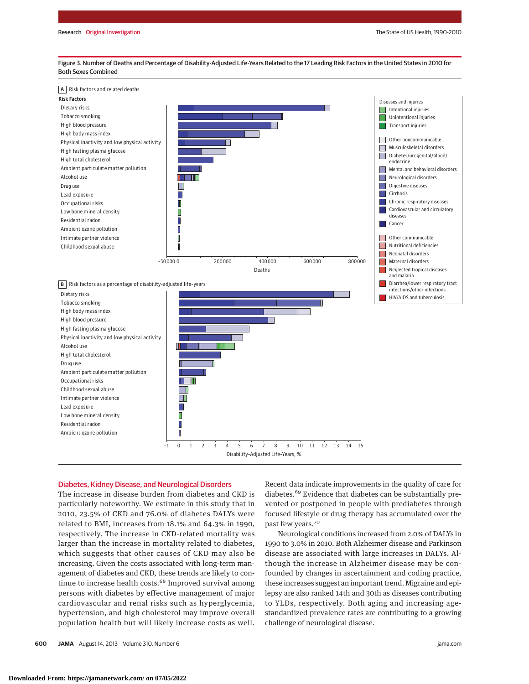#### Figure 3. Number of Deaths and Percentage of Disability-Adjusted Life-Years Related to the 17 Leading Risk Factors in the United States in 2010 for Both Sexes Combined



# Diabetes, Kidney Disease, and Neurological Disorders

The increase in disease burden from diabetes and CKD is particularly noteworthy. We estimate in this study that in 2010, 23.5% of CKD and 76.0% of diabetes DALYs were related to BMI, increases from 18.1% and 64.3% in 1990, respectively. The increase in CKD-related mortality was larger than the increase in mortality related to diabetes, which suggests that other causes of CKD may also be increasing. Given the costs associated with long-term management of diabetes and CKD, these trends are likely to continue to increase health costs.<sup>68</sup> Improved survival among persons with diabetes by effective management of major cardiovascular and renal risks such as hyperglycemia, hypertension, and high cholesterol may improve overall population health but will likely increase costs as well. Recent data indicate improvements in the quality of care for diabetes.<sup>69</sup> Evidence that diabetes can be substantially prevented or postponed in people with prediabetes through focused lifestyle or drug therapy has accumulated over the past few years.70

Neurological conditions increased from 2.0% of DALYs in 1990 to 3.0% in 2010. Both Alzheimer disease and Parkinson disease are associated with large increases in DALYs. Although the increase in Alzheimer disease may be confounded by changes in ascertainment and coding practice, these increases suggest an important trend. Migraine and epilepsy are also ranked 14th and 30th as diseases contributing to YLDs, respectively. Both aging and increasing agestandardized prevalence rates are contributing to a growing challenge of neurological disease.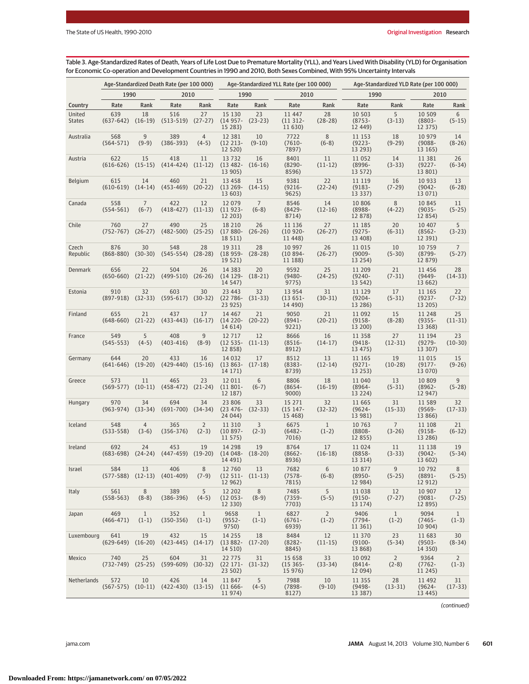Table 3. Age-Standardized Rates of Death, Years of Life Lost Due to Premature Mortality (YLL), and Years Lived With Disability (YLD) for Organisation for Economic Co-operation and Development Countries in 1990 and 2010, Both Sexes Combined, With 95% Uncertainty Intervals

|                         |                              |                           | Age-Standardized Death Rate (per 100 000)          |                           |                                    |                           | Age-Standardized YLL Rate (per 100 000)    |                            | Age-Standardized YLD Rate (per 100 000) |                            |                                  |                            |  |  |  |
|-------------------------|------------------------------|---------------------------|----------------------------------------------------|---------------------------|------------------------------------|---------------------------|--------------------------------------------|----------------------------|-----------------------------------------|----------------------------|----------------------------------|----------------------------|--|--|--|
|                         | 1990                         |                           | 2010                                               |                           | 1990                               |                           | 2010                                       |                            | 1990                                    |                            |                                  | 2010                       |  |  |  |
| Country                 | Rate                         | Rank                      | Rate                                               | Rank                      | Rate                               | Rank                      | Rate                                       | Rank                       | Rate                                    | Rank                       | Rate                             | Rank                       |  |  |  |
| United<br><b>States</b> | 639<br>$(637-642)$           | 18<br>$(16-19)$           | 516<br>$(513-519)$ $(27-27)$                       | 27                        | 15 130<br>$(14957 -$<br>15 283)    | 23<br>$(23-23)$           | 11 447<br>$(11312 -$<br>11 630)            | 28<br>$(28-28)$            | 10 503<br>$(8753 -$<br>12 449)          | 5<br>$(3-13)$              | 10 509<br>$(8803 -$<br>12 375)   | 6<br>$(5-15)$              |  |  |  |
| Australia               | 568<br>$(564 - 571)$         | 9<br>$(9-9)$              | 389<br>$(386 - 393)$                               | $\overline{4}$<br>$(4-5)$ | 12 3 8 1<br>$(12 213 -$<br>12 520) | 10<br>$(9-10)$            | 7722<br>8<br>$(7610 -$<br>$(6-8)$<br>7897) |                            | 11 153<br>$(9223 -$<br>13 293)          | 18<br>$(9-29)$             |                                  | 14<br>$(8-26)$             |  |  |  |
| Austria                 | 622<br>$(616-626)$           | 15<br>$(15-15)$           | 418<br>$(414 - 424)$                               | 11<br>$(11-12)$           | 13732<br>(13 482-<br>13 905)       | 16<br>$(16-16)$           | 8401<br>(8290-<br>8596)                    | 11<br>$(11-12)$            | 11 0 52<br>$(8996 -$<br>13 572)         | 14<br>$(3-33)$             | 11 381<br>$(9227 -$<br>13 801)   | 26<br>$(6-34)$             |  |  |  |
| <b>Belgium</b>          | 615<br>$(610-619)$           | 14<br>$(14-14)$           | 460<br>$(453 - 469)$                               | 21<br>$(20-22)$           | 13 4 58<br>$(13269 -$<br>13 603)   | 15<br>$(14-15)$           | 9381<br>(9216-<br>9625)                    | 22<br>$(22-24)$            | 11 119<br>$(9183 -$<br>13 337)          | 16<br>$(7-29)$             | 10 933<br>$(9042 -$<br>13 071)   | 13<br>$(6-28)$             |  |  |  |
| Canada                  | 558<br>$(554 - 561)$         | $\overline{7}$<br>$(6-7)$ | 422<br>$(418-427)$                                 | 12<br>$(11-13)$           | 12 0 79<br>$(11923 -$<br>12 203)   | $\overline{7}$<br>$(6-8)$ | 8546<br>$(8429 -$<br>8714)                 | 14<br>$(12-16)$            | 10 806<br>$(8988 -$<br>12 878)          | 8<br>$(4-22)$              | 10 845<br>$(9035 -$<br>12 8 54)  | 11<br>$(5-25)$             |  |  |  |
| Chile                   | 760<br>$(752 - 767)$         | 27<br>$(26-27)$           | 490<br>$(482 - 500)$                               | 25<br>$(25-25)$           | 18 2 10<br>$(17880 -$<br>18 511)   | 26<br>$(26-26)$           | 11 136<br>$(10920 -$<br>11 448)            | 27<br>$(26-27)$            | 11 185<br>$(9275 -$<br>13 408)          | 20<br>$(6-31)$             | 10 407<br>$(8562 -$<br>12 391)   | 5<br>$(3-23)$              |  |  |  |
| Czech<br>Republic       | 876<br>$(868 - 880)$         | 30<br>$(30-30)$           | 548<br>$(545-554)$                                 | 28<br>$(28-28)$           | 19 3 11<br>$(18959 -$<br>19 521)   | 28<br>$(28-28)$           | 10 997<br>$(10894 -$<br>11 188)            | 26<br>$(26-27)$            | 11 0 15<br>$(9009 -$<br>13 2 5 4 )      | 10<br>$(5-30)$             | 10 7 5 9<br>$(8799 -$<br>12 879) | $\overline{7}$<br>$(5-27)$ |  |  |  |
| Denmark                 | 656<br>$(650 - 660)$         | 22<br>$(21-22)$           | 504<br>$(499-510)$ $(26-26)$                       | 26                        | 14 3 8 3<br>$(14129 -$<br>14 547)  | 20<br>$(18-21)$           | 9592<br>$(9480 -$<br>9775)                 | 25<br>$(24-25)$            | 11 209<br>$(9240 -$<br>13 542)          | 21<br>$(7-31)$             | 11 4 5 6<br>$(9449 -$<br>13 662) | 28<br>$(14-33)$            |  |  |  |
| Estonia                 | 910<br>$(897-918)$           | 32<br>$(32-33)$           | 603<br>$(595-617)$                                 | 30<br>$(30-32)$           | 23 4 43<br>(22 786-<br>23 925)     | 32<br>$(31-33)$           | 13 9 54<br>$(13651 -$<br>14 490)           | 31<br>$(30-31)$            | 11 129<br>$(9204 -$<br>13 286)          | 17<br>$(5-31)$             | 11 165<br>$(9237 -$<br>13 205)   | 22<br>$(7-32)$             |  |  |  |
| Finland                 | 655<br>$(648-660)$           | 21<br>$(21-22)$           | 437<br>$(433 - 443)$                               | 17<br>$(16-17)$           | 14 4 67<br>$(14 220 -$<br>14 6 14) | 21<br>$(20-22)$           | 9050<br>$(8941 -$<br>9221)                 | 21<br>$(20-21)$            | 11 092<br>$(9158 -$<br>13 200)          | 15<br>$(8-28)$             | 11 248<br>$(9355 -$<br>13 3 68)  | 25<br>$(11-31)$            |  |  |  |
| France                  | 549<br>$(545 - 553)$         | 5<br>$(4-5)$              | 408<br>$(403 - 416)$                               | 9<br>$(8-9)$              | 12 7 17<br>$(12535 -$<br>12 858)   | 12<br>$(11-13)$           | 8666<br>(8516-<br>8912)                    | 16<br>$(14-17)$            | 11 3 5 8<br>$(9418 -$<br>13 475)        | 27<br>$(12-31)$            | 11 194<br>$(9279 -$<br>13 307)   | 23<br>$(10-30)$            |  |  |  |
| Germany                 | 644<br>$(641 - 646)$         | 20<br>$(19-20)$           | 433<br>$(429 - 440)$                               | 16<br>$(15-16)$           | 14 0 32<br>$(13863 -$<br>14 171)   | 17<br>$(17-18)$           | 8512<br>$(8383 -$<br>8739)                 | 13<br>$(12-14)$            | 11 165<br>$(9271 -$<br>13 253)          | 19<br>$(10-28)$            | 11 0 15<br>$(9177 -$<br>13 070)  | 15<br>$(9-26)$             |  |  |  |
| Greece                  | 573<br>$(569-577)$           | 11<br>$(10-11)$           | 465<br>$(458-472)$                                 | 23<br>$(21-24)$           | 12 011<br>$(11801 -$<br>12 187)    | 6<br>$(6-7)$              | 8806<br>$(8654 -$<br>9000)                 | 18<br>$(16-19)$            | 11 040<br>$(8964 -$<br>13 2 2 4 )       | 13<br>$(5-31)$             | 10 809<br>$(8962 -$<br>12 947)   | 9<br>$(5-28)$              |  |  |  |
| Hungary                 | 970<br>$(963-974)$           | 34<br>$(33-34)$           | 694<br>$(691 - 700)$                               | 34<br>$(34-34)$           | 23 806<br>$(23 476 -$<br>24 044)   | 33<br>$(32-33)$           | 15 27 1<br>(15 147-<br>15 4 68)            | 32<br>$(32-32)$            | 11 665<br>$(9624 -$<br>13 981)          | 31<br>$(15-33)$            | 11 589<br>$(9569 -$<br>13 866)   | 32<br>$(17-33)$            |  |  |  |
| Iceland                 | 548<br>$(533 - 558)$         | $\overline{4}$<br>$(3-6)$ | 365<br>$(356-376)$                                 | 2<br>$(2-3)$              | 11 3 10<br>$(10897 -$<br>11 575)   | 3<br>$(2-3)$              | 6675<br>(6482-<br>7016)                    | $\mathbf{1}$<br>$(1-2)$    | 10 763<br>$(8808 -$<br>12 855)          | $\overline{7}$<br>$(3-26)$ | 11 108<br>$(9158 -$<br>13 286)   | 21<br>$(6-32)$             |  |  |  |
| Ireland                 | 692<br>$(683 - 698)$         | 24<br>$(24-24)$           | 453<br>$(447-459)$                                 | 19<br>$(19-20)$           | 14 2 9 8<br>(14 048-<br>14 491)    | 19<br>$(18-20)$           | 8764<br>(8662-<br>8936)                    | 17<br>$(16-18)$            | 11 0 24<br>$(8858 -$<br>13 3 14)        | 11<br>$(3-33)$             | 11 138<br>$(9042 -$<br>13 602)   | 19<br>$(5-34)$             |  |  |  |
| Israel                  | 584                          | 13                        | 406<br>$(577-588)$ $(12-13)$ $(401-409)$           | 8<br>$(7-9)$              | 12 760<br>$(12511 -$<br>12 962)    | 13<br>$(11-13)$           | 7682<br>(7578-<br>7815)                    | 6<br>$(6-8)$               | 10 877<br>$(8950 -$<br>12 984)          | 9<br>$(5-25)$              | 10 7 9 2<br>$(8891 -$<br>12 912) | 8<br>$(5-25)$              |  |  |  |
| <b>Italy</b>            | 561<br>$(558-563)$           | $\,8\,$<br>$(8-8)$        | 389<br>$(386 - 396)$                               | 5<br>$(4-5)$              | 12 202<br>$(12053 -$<br>12 330)    | 8<br>$(8-9)$              | 7485<br>$(7359 -$<br>7703)                 | $5\phantom{.0}$<br>$(5-5)$ | 11 0 38<br>$(9150 -$<br>13 174)         | 12<br>$(7-27)$             | 10 907<br>$(9081 -$<br>12 895)   | 12<br>$(7-25)$             |  |  |  |
| Japan                   | 469<br>$(466 - 471)$         | $\mathbf{1}$<br>$(1-1)$   | 352<br>$(350 - 356)$                               | $\mathbf{1}$<br>$(1-1)$   | 9658<br>$(9552 -$<br>9750)         | 1<br>$(1-1)$              | 6827<br>$(6761 -$<br>6939)                 | $\overline{2}$<br>$(1-2)$  | 9406<br>$(7794 -$<br>11 361)            | $\mathbf{1}$<br>$(1-2)$    | 9094<br>$(7465 -$<br>10 904)     | $\mathbf{1}$<br>$(1-3)$    |  |  |  |
| Luxembourg              | 641<br>$(629-649)$           | 19<br>$(16-20)$           | 432<br>$(423-445)$ $(14-17)$                       | 15                        | 14 2 5 5<br>$(13882 -$<br>14 510)  | 18<br>$(17-20)$           | 8484<br>$(8282 -$<br>8845)                 | 12<br>$(11-15)$            | 11 370<br>$(9100 -$<br>13 868)          | 23<br>$(5-34)$             | 11 683<br>$(9503 -$<br>14 3 5 0) | 30<br>$(8-34)$             |  |  |  |
| Mexico                  | 740<br>$(732-749)$ $(25-25)$ | 25                        | 604<br>$(599-609)$ $(30-32)$                       | 31                        | 22 7 7 5<br>$(22 171 -$<br>23 502) | 31<br>$(31-32)$           | 15 658<br>$(15365 -$<br>15 976)            | 33<br>$(33-34)$            | 10 092<br>$(8414 -$<br>12 094)          | $\overline{2}$<br>$(2-8)$  | 9364<br>$(7762 -$<br>11 2 45)    | $\overline{2}$<br>$(1-3)$  |  |  |  |
| Netherlands             | 572                          | 10                        | 426<br>$(567-575)$ $(10-11)$ $(422-430)$ $(13-15)$ | 14                        | 11 847<br>$(11666 -$<br>11 974)    | 5<br>$(4-5)$              | 7988<br>$(7898 -$<br>8127)                 | 10<br>$(9-10)$             | 11 3 5 5<br>$(9498 -$<br>13 387)        | 28<br>$(13-31)$            | 11 4 92<br>$(9624 -$<br>13 4 45) | 31<br>$(17-33)$            |  |  |  |

(continued)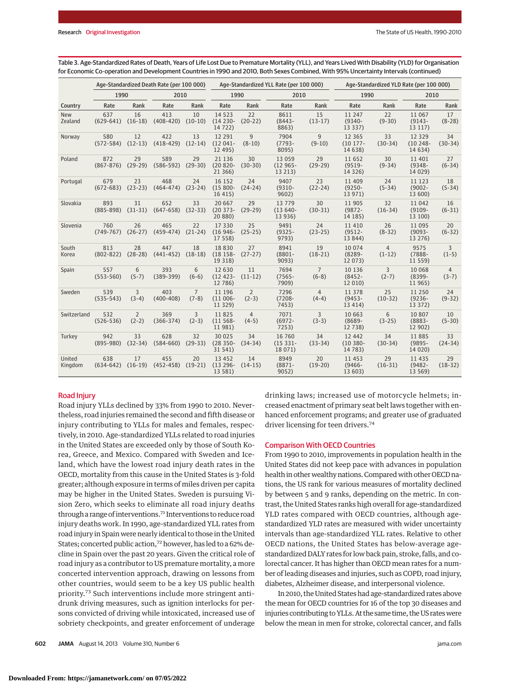| Table 3. Age-Standardized Rates of Death, Years of Life Lost Due to Premature Mortality (YLL), and Years Lived With Disability (YLD) for Organisation |
|-------------------------------------------------------------------------------------------------------------------------------------------------------|
| for Economic Co-operation and Development Countries in 1990 and 2010, Both Sexes Combined, With 95% Uncertainty Intervals (continued)                 |

|                       |                      |                           | Age-Standardized Death Rate (per 100 000) |                           |                                     |                           | Age-Standardized YLL Rate (per 100 000) |                           | Age-Standardized YLD Rate (per 100 000) |                            |                                   |                           |  |  |  |
|-----------------------|----------------------|---------------------------|-------------------------------------------|---------------------------|-------------------------------------|---------------------------|-----------------------------------------|---------------------------|-----------------------------------------|----------------------------|-----------------------------------|---------------------------|--|--|--|
|                       | 1990                 |                           | 2010                                      |                           | 1990                                |                           | 2010                                    |                           | 1990                                    |                            | 2010                              |                           |  |  |  |
| Country               | Rate                 | Rank                      | Rate                                      | Rank                      | Rate                                | Rank<br>Rate<br>Rank      |                                         |                           | Rate                                    | Rank                       | Rate                              | Rank                      |  |  |  |
| <b>New</b><br>Zealand | 637<br>$(629-641)$   | 16<br>$(16-18)$           | 413<br>$(408 - 420)$                      | 10<br>$(10-10)$           | 14 5 23<br>$(14230 -$<br>14 722)    | 22<br>$(20-22)$           | 8611<br>$(8443 -$<br>8863)              | 15<br>$(13-17)$           | 11 247<br>$(9340 -$<br>13 3 3 7)        | 22<br>$(9-30)$             | 11 067<br>$(9143 -$<br>13 117)    | 17<br>$(8-28)$            |  |  |  |
| Norway                | 580<br>$(572 - 584)$ | 12<br>$(12-13)$           | 422<br>$(418-429)$                        | 13<br>$(12-14)$           | 12 2 9 1<br>$(12041 -$<br>12 495)   | 9<br>$(8-10)$             | 7904<br>$(7793 -$<br>8095)              | 9<br>$(9-10)$             | 12 3 6 5<br>$(10177 -$<br>14 638)       | 33<br>$(30-34)$            | 12 3 2 9<br>$(10248 -$<br>14 634) | 34<br>$(30-34)$           |  |  |  |
| Poland                | 872<br>$(867 - 876)$ | 29<br>$(29-29)$           | 589<br>$(586-592)$                        | 29<br>$(29-30)$           | 21 1 36<br>$(20820 -$<br>21 3 6 6 ) | 30<br>$(30-30)$           | 13 059<br>$(12965 -$<br>13 213)         | 29<br>$(29-29)$           | 11 652<br>$(9519 -$<br>14 3 2 6 )       | 30<br>$(9-34)$             | 11 401<br>$(9348 -$<br>14 029)    | 27<br>$(6-34)$            |  |  |  |
| Portugal              | 679<br>$(672 - 683)$ | 23<br>$(23-23)$           | 468<br>$(464 - 474)$                      | 24<br>$(23-24)$           | 16 152<br>$(15800 -$<br>16 4 15)    | 24<br>$(24-24)$           | 9407<br>$(9310 -$<br>9602)              | 23<br>$(22-24)$           | 11 409<br>$(9250 -$<br>13 971)          | 24<br>$(5-34)$             | 11 123<br>$(9002 -$<br>13 600)    | 18<br>$(5-34)$            |  |  |  |
| Slovakia              | 893<br>$(885 - 898)$ | 31<br>$(31-31)$           | 652<br>$(647 - 658)$                      | 33<br>$(32-33)$           | 20 667<br>$(20373 -$<br>20 880)     | 29<br>$(29-29)$           | 13 7 7 9<br>$(13640 -$<br>13 936)       | 30<br>$(30-31)$           | 11 905<br>$(9872 -$<br>14 185)          | 32<br>$(16-34)$            | 11 042<br>$(9109 -$<br>13 100)    | 16<br>$(6-31)$            |  |  |  |
| Slovenia              | 760<br>$(749-767)$   | 26<br>$(26-27)$           | 465<br>$(459-474)$                        | 22<br>$(21-24)$           | 17 330<br>$(16946 -$<br>17 558)     | 25<br>$(25-25)$           | 9491<br>$(9325 -$<br>9793)              | 24<br>$(23-25)$           | 11 4 10<br>$(9512 -$<br>13 844)         | 26<br>$(8-32)$             | 11 0 95<br>$(9093 -$<br>13 276)   | 20<br>$(6-32)$            |  |  |  |
| South<br>Korea        | 813<br>$(802 - 822)$ | 28<br>$(28-28)$           | 447<br>$(441 - 452)$                      | 18<br>$(18-18)$           | 18 8 30<br>$(18158 -$<br>19 3 18)   | 27<br>$(27-27)$           | 8941<br>$(8801 -$<br>9093)              | 19<br>$(18-21)$           | 10 0 74<br>$(8289 -$<br>12 073)         | $\overline{4}$<br>$(1-12)$ | 9575<br>$(7888 -$<br>11 559)      | 3<br>$(1-5)$              |  |  |  |
| Spain                 | 557<br>$(553 - 560)$ | 6<br>$(5-7)$              | 393<br>$(389 - 399)$                      | 6<br>$(6-6)$              | 12 630<br>$(12423 -$<br>12 786)     | 11<br>$(11-12)$           | 7694<br>$(7565 -$<br>7909)              | $\overline{7}$<br>$(6-8)$ | 10 13 6<br>$(8452 -$<br>12 010)         | 3<br>$(2-7)$               | 10 068<br>$(8399 -$<br>11 965)    | $\overline{4}$<br>$(3-7)$ |  |  |  |
| Sweden                | 539<br>$(535-543)$   | 3<br>$(3-4)$              | 403<br>$(400-408)$                        | $\overline{7}$<br>$(7-8)$ | 11 196<br>$(11006 -$<br>11 329)     | $\overline{2}$<br>$(2-3)$ | 7296<br>$(7208 -$<br>7453)              | $\overline{4}$<br>$(4-4)$ | 11 378<br>$(9453 -$<br>13 4 14)         | 25<br>$(10-32)$            | 11 2 50<br>$(9236 -$<br>13 372)   | 24<br>$(9-32)$            |  |  |  |
| Switzerland           | 532<br>$(526 - 536)$ | $\overline{2}$<br>$(2-2)$ | 369<br>$(366-374)$                        | 3<br>$(2-3)$              | 11825<br>$(11568 -$<br>11 981)      | $\overline{4}$<br>$(4-5)$ | 7071<br>$(6972 -$<br>7253)              | 3<br>$(3-3)$              | 10 663<br>$(8689 -$<br>12 738)          | 6<br>$(3-25)$              | 10 807<br>$(8883 -$<br>12 902)    | 10<br>$(5-30)$            |  |  |  |
| Turkey                | 942<br>$(895 - 980)$ | 33<br>$(32-34)$           | 628<br>$(584 - 660)$                      | 32<br>$(29-33)$           | 30 0 25<br>$(28350 -$<br>31 541)    | 34<br>$(34-34)$           | 16 760<br>$(15331 -$<br>18 071)         | 34<br>$(33-34)$           | 12 442<br>$(10380 -$<br>14 783)         | 34<br>$(30-34)$            | 11885<br>$(9895 -$<br>14 020)     | 33<br>$(24-34)$           |  |  |  |
| United<br>Kingdom     | 638<br>$(634-642)$   | 17<br>$(16-19)$           | 455<br>$(452 - 458)$                      | 20<br>$(19-21)$           | 13 4 52<br>$(13296 -$<br>13 581)    | 14<br>$(14-15)$           | 8949<br>$(8871 -$<br>9052)              | 20<br>$(19-20)$           | 11 453<br>$(9466 -$<br>13 603)          | 29<br>$(16-31)$            | 11 4 35<br>$(9482 -$<br>13 569)   | 29<br>$(18-32)$           |  |  |  |

# Road Injury

Road injury YLLs declined by 33% from 1990 to 2010. Nevertheless, road injuries remained the second and fifth disease or injury contributing to YLLs for males and females, respectively, in 2010. Age-standardized YLLs related to road injuries in the United States are exceeded only by those of South Korea, Greece, and Mexico. Compared with Sweden and Iceland, which have the lowest road injury death rates in the OECD, mortality from this cause in the United States is 3-fold greater; although exposure in terms of miles driven per capita may be higher in the United States. Sweden is pursuing Vision Zero, which seeks to eliminate all road injury deaths through a range of interventions.<sup>71</sup> Interventions to reduce road injury deaths work. In 1990, age-standardized YLL rates from road injury in Spain were nearly identical to those in the United States; concerted public action,<sup>72</sup> however, has led to a 62% decline in Spain over the past 20 years. Given the critical role of road injury as a contributor to US premature mortality, a more concerted intervention approach, drawing on lessons from other countries, would seem to be a key US public health priority.<sup>73</sup> Such interventions include more stringent antidrunk driving measures, such as ignition interlocks for persons convicted of driving while intoxicated, increased use of sobriety checkpoints, and greater enforcement of underage

**602 JAMA** August 14, 2013 Volume 310, Number 6 jama.com

drinking laws; increased use of motorcycle helmets; increased enactment of primary seat belt laws together with enhanced enforcement programs; and greater use of graduated driver licensing for teen drivers.<sup>74</sup>

# Comparison With OECD Countries

From 1990 to 2010, improvements in population health in the United States did not keep pace with advances in population health in other wealthy nations. Compared with other OECD nations, the US rank for various measures of mortality declined by between 5 and 9 ranks, depending on the metric. In contrast, the United States ranks high overall for age-standardized YLD rates compared with OECD countries, although agestandardized YLD rates are measured with wider uncertainty intervals than age-standardized YLL rates. Relative to other OECD nations, the United States has below-average agestandardized DALY rates for low back pain, stroke, falls, and colorectal cancer. It has higher than OECD mean rates for a number of leading diseases and injuries, such as COPD, road injury, diabetes, Alzheimer disease, and interpersonal violence.

In 2010, the United States had age-standardized rates above the mean for OECD countries for 16 of the top 30 diseases and injuries contributing to YLLs. At the same time, the US rates were below the mean in men for stroke, colorectal cancer, and falls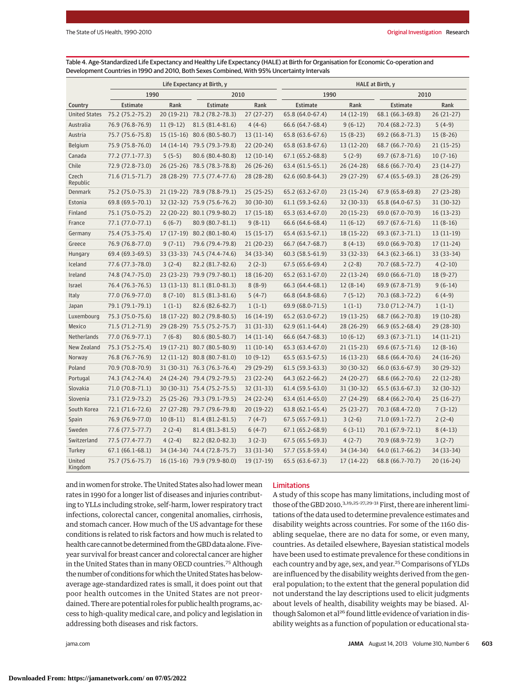Table 4. Age-Standardized Life Expectancy and Healthy Life Expectancy (HALE) at Birth for Organisation for Economic Co-operation and Development Countries in 1990 and 2010, Both Sexes Combined, With 95% Uncertainty Intervals

|                      |                   |             | Life Expectancy at Birth, y |             | HALE at Birth, y  |             |                  |             |  |  |  |  |  |  |
|----------------------|-------------------|-------------|-----------------------------|-------------|-------------------|-------------|------------------|-------------|--|--|--|--|--|--|
|                      | 1990              |             | 2010                        |             | 1990              |             | 2010             |             |  |  |  |  |  |  |
| Country              | <b>Estimate</b>   | Rank        | Estimate                    | Rank        | <b>Estimate</b>   | Rank        | <b>Estimate</b>  | Rank        |  |  |  |  |  |  |
| <b>United States</b> | 75.2 (75.2-75.2)  |             | 20 (19-21) 78.2 (78.2-78.3) | $27(27-27)$ | 65.8 (64.0-67.4)  | $14(12-19)$ | 68.1 (66.3-69.8) | $26(21-27)$ |  |  |  |  |  |  |
| Australia            | 76.9 (76.8-76.9)  | $11(9-12)$  | 81.5 (81.4-81.6)            | $4(4-6)$    | 66.6 (64.7-68.4)  | $9(6-12)$   | 70.4 (68.2-72.3) | $5(4-9)$    |  |  |  |  |  |  |
| Austria              | 75.7 (75.6-75.8)  |             | 15 (15-16) 80.6 (80.5-80.7) | $13(11-14)$ | 65.8 (63.6-67.6)  | $15(8-23)$  | 69.2 (66.8-71.3) | $15(8-26)$  |  |  |  |  |  |  |
| <b>Belgium</b>       | 75.9 (75.8-76.0)  |             | 14 (14-14) 79.5 (79.3-79.8) | $22(20-24)$ | 65.8 (63.8-67.6)  | $13(12-20)$ | 68.7 (66.7-70.6) | $21(15-25)$ |  |  |  |  |  |  |
| Canada               | 77.2 (77.1-77.3)  | $5(5-5)$    | 80.6 (80.4-80.8)            | $12(10-14)$ | $67.1(65.2-68.8)$ | $5(2-9)$    | 69.7 (67.8-71.6) | $10(7-16)$  |  |  |  |  |  |  |
| Chile                | 72.9 (72.8-73.0)  |             | 26 (25-26) 78.5 (78.3-78.8) | $26(26-26)$ | 63.4 (61.5-65.1)  | $26(24-28)$ | 68.6 (66.7-70.4) | $23(14-27)$ |  |  |  |  |  |  |
| Czech<br>Republic    | 71.6 (71.5-71.7)  |             | 28 (28-29) 77.5 (77.4-77.6) | 28 (28-28)  | $62.6(60.8-64.3)$ | $29(27-29)$ | 67.4 (65.5-69.3) | $28(26-29)$ |  |  |  |  |  |  |
| Denmark              | 75.2 (75.0-75.3)  |             | 21 (19-22) 78.9 (78.8-79.1) | $25(25-25)$ | 65.2 (63.2-67.0)  | $23(15-24)$ | 67.9 (65.8-69.8) | $27(23-28)$ |  |  |  |  |  |  |
| Estonia              | 69.8 (69.5-70.1)  |             | 32 (32-32) 75.9 (75.6-76.2) | $30(30-30)$ | $61.1(59.3-62.6)$ | 32 (30-33)  | 65.8 (64.0-67.5) | $31(30-32)$ |  |  |  |  |  |  |
| Finland              | 75.1 (75.0-75.2)  | $22(20-22)$ | 80.1 (79.9-80.2)            | $17(15-18)$ | 65.3 (63.4-67.0)  | $20(15-23)$ | 69.0 (67.0-70.9) | $16(13-23)$ |  |  |  |  |  |  |
| France               | 77.1 (77.0-77.1)  | $6(6-7)$    | 80.9 (80.7-81.1)            | $9(8-11)$   | 66.6 (64.6-68.4)  | $11(6-12)$  | 69.7 (67.6-71.6) | $11(8-16)$  |  |  |  |  |  |  |
| Germany              | 75.4 (75.3-75.4)  | $17(17-19)$ | 80.2 (80.1-80.4)            | $15(15-17)$ | 65.4 (63.5-67.1)  | $18(15-22)$ | 69.3 (67.3-71.1) | $13(11-19)$ |  |  |  |  |  |  |
| Greece               | 76.9 (76.8-77.0)  | $9(7-11)$   | 79.6 (79.4-79.8)            | $21(20-23)$ | 66.7 (64.7-68.7)  | $8(4-13)$   | 69.0 (66.9-70.8) | $17(11-24)$ |  |  |  |  |  |  |
| Hungary              | 69.4 (69.3-69.5)  |             | 33 (33-33) 74.5 (74.4-74.6) | 34 (33-34)  | 60.3 (58.5-61.9)  | 33 (32-33)  | 64.3 (62.3-66.1) | 33 (33-34)  |  |  |  |  |  |  |
| Iceland              | 77.6 (77.3-78.0)  | $3(2-4)$    | 82.2 (81.7-82.6)            | $2(2-3)$    | 67.5 (65.6-69.4)  | $2(2-8)$    | 70.7 (68.5-72.7) | $4(2-10)$   |  |  |  |  |  |  |
| Ireland              | 74.8 (74.7-75.0)  |             | 23 (23-23) 79.9 (79.7-80.1) | 18 (16-20)  | 65.2 (63.1-67.0)  | $22(13-24)$ | 69.0 (66.6-71.0) | $18(9-27)$  |  |  |  |  |  |  |
| Israel               | 76.4 (76.3-76.5)  |             | 13 (13-13) 81.1 (81.0-81.3) | $8(8-9)$    | 66.3 (64.4-68.1)  | $12(8-14)$  | 69.9 (67.8-71.9) | $9(6-14)$   |  |  |  |  |  |  |
| Italy                | 77.0 (76.9-77.0)  | $8(7-10)$   | 81.5 (81.3-81.6)            | $5(4-7)$    | 66.8 (64.8-68.6)  | $7(5-12)$   | 70.3 (68.3-72.2) | $6(4-9)$    |  |  |  |  |  |  |
| Japan                | 79.1 (79.1-79.1)  | $1(1-1)$    | 82.6 (82.6-82.7)            | $1(1-1)$    | 69.9 (68.0-71.5)  | $1(1-1)$    | 73.0 (71.2-74.7) | $1(1-1)$    |  |  |  |  |  |  |
| Luxembourg           | 75.3 (75.0-75.6)  |             | 18 (17-22) 80.2 (79.8-80.5) | $16(14-19)$ | 65.2 (63.0-67.2)  | $19(13-25)$ | 68.7 (66.2-70.8) | $19(10-28)$ |  |  |  |  |  |  |
| Mexico               | 71.5 (71.2-71.9)  |             | 29 (28-29) 75.5 (75.2-75.7) | $31(31-33)$ | 62.9 (61.1-64.4)  | 28 (26-29)  | 66.9 (65.2-68.4) | $29(28-30)$ |  |  |  |  |  |  |
| Netherlands          | 77.0 (76.9-77.1)  | $7(6-8)$    | 80.6 (80.5-80.7)            | $14(11-14)$ | 66.6 (64.7-68.3)  | $10(6-12)$  | 69.3 (67.3-71.1) | $14(11-21)$ |  |  |  |  |  |  |
| New Zealand          | 75.3 (75.2-75.4)  |             | 19 (17-21) 80.7 (80.5-80.9) | $11(10-14)$ | 65.3 (63.4-67.0)  | $21(15-23)$ | 69.6 (67.5-71.6) | $12(8-16)$  |  |  |  |  |  |  |
| Norway               | 76.8 (76.7-76.9)  |             | 12 (11-12) 80.8 (80.7-81.0) | $10(9-12)$  | 65.5 (63.5-67.5)  | $16(13-23)$ | 68.6 (66.4-70.6) | 24 (16-26)  |  |  |  |  |  |  |
| Poland               | 70.9 (70.8-70.9)  |             | 31 (30-31) 76.3 (76.3-76.4) | 29 (29-29)  | $61.5(59.3-63.3)$ | 30 (30-32)  | 66.0 (63.6-67.9) | 30 (29-32)  |  |  |  |  |  |  |
| Portugal             | 74.3 (74.2-74.4)  |             | 24 (24-24) 79.4 (79.2-79.5) | $23(22-24)$ | 64.3 (62.2-66.2)  | 24 (20-27)  | 68.6 (66.2-70.6) | $22(12-28)$ |  |  |  |  |  |  |
| Slovakia             | 71.0 (70.8-71.1)  |             | 30 (30-31) 75.4 (75.2-75.5) | $32(31-33)$ | 61.4 (59.5-63.0)  | $31(30-32)$ | 65.5 (63.6-67.3) | 32 (30-32)  |  |  |  |  |  |  |
| Slovenia             | 73.1 (72.9-73.2)  |             | 25 (25-26) 79.3 (79.1-79.5) | $24(22-24)$ | 63.4 (61.4-65.0)  | 27 (24-29)  | 68.4 (66.2-70.4) | $25(16-27)$ |  |  |  |  |  |  |
| South Korea          | 72.1 (71.6-72.6)  |             | 27 (27-28) 79.7 (79.6-79.8) | $20(19-22)$ | 63.8 (62.1-65.4)  | $25(23-27)$ | 70.3 (68.4-72.0) | $7(3-12)$   |  |  |  |  |  |  |
| Spain                | 76.9 (76.9-77.0)  | $10(8-11)$  | 81.4 (81.2-81.5)            | $7(4-7)$    | $67.5(65.7-69.1)$ | $3(2-6)$    | 71.0 (69.1-72.7) | $2(2-4)$    |  |  |  |  |  |  |
| Sweden               | 77.6 (77.5-77.7)  | $2(2-4)$    | 81.4 (81.3-81.5)            | $6(4-7)$    | $67.1(65.2-68.9)$ | $6(3-11)$   | 70.1 (67.9-72.1) | $8(4-13)$   |  |  |  |  |  |  |
| Switzerland          | 77.5 (77.4-77.7)  | $4(2-4)$    | 82.2 (82.0-82.3)            | $3(2-3)$    | $67.5(65.5-69.3)$ | $4(2-7)$    | 70.9 (68.9-72.9) | $3(2-7)$    |  |  |  |  |  |  |
| Turkey               | $67.1(66.1-68.1)$ |             | 34 (34-34) 74.4 (72.8-75.7) | 33 (31-34)  | 57.7 (55.8-59.4)  | 34 (34-34)  | 64.0 (61.7-66.2) | 34 (33-34)  |  |  |  |  |  |  |
| United<br>Kingdom    | 75.7 (75.6-75.7)  |             | 16 (15-16) 79.9 (79.9-80.0) | $19(17-19)$ | 65.5 (63.6-67.3)  | $17(14-22)$ | 68.8 (66.7-70.7) | $20(16-24)$ |  |  |  |  |  |  |

and in women for stroke. The United States also had lower mean rates in 1990 for a longer list of diseases and injuries contributing to YLLs including stroke, self-harm, lower respiratory tract infections, colorectal cancer, congenital anomalies, cirrhosis, and stomach cancer. How much of the US advantage for these conditions is related to risk factors and how much is related to health care cannot be determined from the GBD data alone. Fiveyear survival for breast cancer and colorectal cancer are higher in the United States than in many OECD countries.75 Although the number of conditions forwhich the United States has belowaverage age-standardized rates is small, it does point out that poor health outcomes in the United States are not preordained. There are potential roles for public health programs, access to high-quality medical care, and policy and legislation in addressing both diseases and risk factors.

# Limitations

A study of this scope has many limitations, including most of those of the GBD 2010.<sup>3,19,25-27,29-31</sup> First, there are inherent limitations of the data used to determine prevalence estimates and disability weights across countries. For some of the 1160 disabling sequelae, there are no data for some, or even many, countries. As detailed elsewhere, Bayesian statistical models have been used to estimate prevalence for these conditions in each country and by age, sex, and year.<sup>25</sup> Comparisons of YLDs are influenced by the disability weights derived from the general population; to the extent that the general population did not understand the lay descriptions used to elicit judgments about levels of health, disability weights may be biased. Although Salomon et al<sup>26</sup> found little evidence of variation in disability weights as a function of population or educational sta-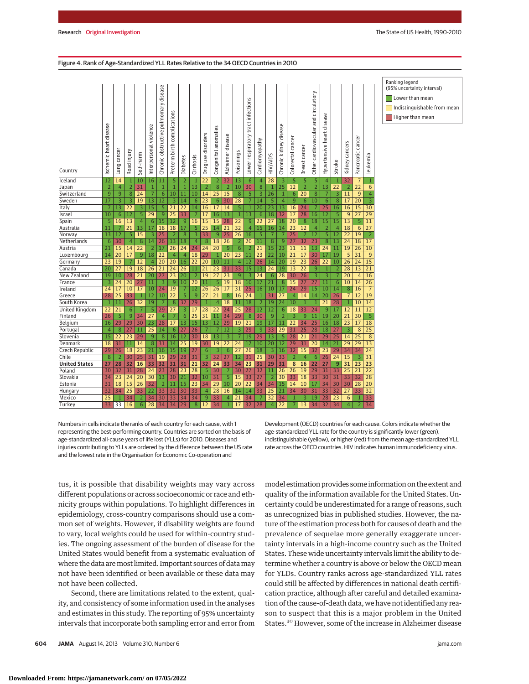| Figure 4. Rank of Age-Standardized YLL Rates Relative to the 34 OECD Countries in 2010 |                       |                      |                |                |                        |                                       |                                |                |                 |                    |                    |                      |                 |                                    |                      |                 |                           |                      |                 |                                         |                           |                 |                   |                      |                 |                                                                                                                    |
|----------------------------------------------------------------------------------------|-----------------------|----------------------|----------------|----------------|------------------------|---------------------------------------|--------------------------------|----------------|-----------------|--------------------|--------------------|----------------------|-----------------|------------------------------------|----------------------|-----------------|---------------------------|----------------------|-----------------|-----------------------------------------|---------------------------|-----------------|-------------------|----------------------|-----------------|--------------------------------------------------------------------------------------------------------------------|
| Country                                                                                | schemic heart disease | Lung cancer          | Road injury    | Self-harm      | Interpersonal violence | Chronic obstructive pulmomary disease | complications<br>Preterm birth | Diabetes       | Cirrhosis       | Drug use disorders | Congenital anomali | disease<br>Alzheimer | Poisonings      | Lower respiratory tract infections | Cardiomyopathy       | HIV/AIDS        | disease<br>Chronic kidney | cancer<br>Colorectal | Breast cancer   | cardiovascular and circulatory<br>Other | Hypertensive heart diseas | Stroke          | cancers<br>Kidney | Pancreatic cance     | Leukemia        | Ranking legend<br>(95% uncertainty interval)<br>Lower than mean<br>Indistinguishable from mear<br>Higher than mean |
| Iceland                                                                                | 12                    | 14                   |                | 10             | 16                     | 11                                    | 5                              | 2              |                 | 22                 | $\overline{2}$     | 32                   | 13              | 6                                  | $\overline{4}$       | 28              | 3                         | 5                    | 5               | 5                                       | $\overline{4}$            | 1               | 32                | $\overline{7}$       | $\mathbf{1}$    |                                                                                                                    |
| Japan                                                                                  | $\overline{2}$        | $\overline{4}$       | $\overline{2}$ | 31             | $\mathbf{1}$           | 1                                     | $\mathbf{1}$                   | $\mathbf{1}$   | 13              | $\overline{2}$     | $\bf 8$            | $\overline{2}$       | 10              | 30                                 | $\bf 8$              | 1               | 25                        | 12                   | $\overline{2}$  | $\overline{2}$                          | 13                        | 22              | $\overline{2}$    | 22                   | 6               |                                                                                                                    |
| Switzerland                                                                            | 9                     | 9                    | $\,$ 8 $\,$    | 24             | $\overline{7}$         | 6                                     | 10                             | 11             | 10              | 14                 | 25                 | 15                   | $\,$ 8 $\,$     | 5                                  | 3                    | 26              | $\mathbf{1}$              | 6                    | 20              | 8                                       | $\overline{7}$            | 3               | 11                | 9                    | $\overline{4}$  |                                                                                                                    |
| Sweden                                                                                 | 17                    | 3                    | 3              | 19             | 13                     | 12                                    | 3                              | 14             | $6\phantom{1}6$ | 23                 | 6                  | 30                   | 28              | $\overline{7}$                     | 14                   | 5               | $\overline{4}$            | 9                    | 6               | 10                                      | 6                         | 8               | 17                | 20                   | $\overline{3}$  |                                                                                                                    |
| Italy                                                                                  | 7                     | 13                   | 22             | 3              | 15                     | 5                                     | 21                             | 22             | 14              | 16                 | 17                 | 14                   | 5               | $\mathbf{1}$                       | 20                   | 23              | 13                        | 16                   | 24              | $\overline{7}$                          | 25                        | 16              | 16                | 15                   | 30              |                                                                                                                    |
| Israel                                                                                 | 10                    | 6                    | 12             | 5              | 29                     | 9                                     | 25                             | 33             | 7               | 17                 | 16                 | 13                   | $\mathbf{1}$    | 13                                 | $6\phantom{1}$       | 18              | 32                        | 17                   | 28              | 16                                      | 12                        | 5               | 9                 | 27                   | 29              |                                                                                                                    |
| Spain                                                                                  | 5                     | 16                   | 13             | $\overline{4}$ | 6                      | 15                                    | 12                             | 9              | 16              | 15                 | 15                 | 28                   | 22              | 9                                  | 22                   | 27              | 18                        | 20                   | 8               | 18                                      | 15                        | 15              | 13                | 5                    | 11              |                                                                                                                    |
| Australia                                                                              | 11                    | 7                    | 21             | 13             | 17                     | 18                                    | 18                             | 17             | 5               | 25                 | 14                 | 21                   | 32              | $\overline{4}$                     | 15                   | 16              | 14                        | 23                   | 12              | $\overline{4}$                          | $\overline{2}$            | $\overline{4}$  | 18                | 6                    | 27              |                                                                                                                    |
| Norway                                                                                 | 13                    | 12                   | 5              | 15             | 3                      | 25                                    | フ                              | 8              | 3               | 33                 | 9                  | 25                   | 26              | 16                                 | 5                    | 7               | 7                         | 25                   | 7               | 12                                      | 5                         | 12              | 22                | 19                   | $\overline{2}$  |                                                                                                                    |
| Netherlands                                                                            | 6                     | 30                   | $\overline{4}$ | 8              | 14                     | 26                                    | 13                             | 18             | $\overline{4}$  | 8                  | 18                 | 26                   | $\overline{2}$  | 20                                 | 11                   | 8               | 9                         | 27                   | 32              | 23                                      | 8                         | 13              | 24                | 18                   | 17              |                                                                                                                    |
| Austria                                                                                | 21                    | 15                   | 14             | 22             | $\overline{2}$         | 17                                    | 26                             | 24             | 24              | 24                 | 20                 | 9                    | 6               | 2                                  | 21                   | 15              | 23                        | 11                   | 11              | 13                                      | 24                        | 11              | 19                | 26                   | 10              |                                                                                                                    |
| Luxembourg                                                                             | 14                    | 20                   | 17             | 9              | 18                     | 22                                    | $\overline{4}$                 | $\overline{4}$ | 18              | 29                 | п                  | 20                   | 23              | 11                                 | 23                   | 22              | 10                        | 21                   | 17              | 30                                      | 17                        | 19              | 5                 | 31                   | 9               |                                                                                                                    |
| Germany                                                                                | 23                    | 19                   |                | 12             | $\overline{4}$         | 20                                    | $\overline{20}$                | 16             | $\overline{22}$ | 20                 | 10                 | 11                   | $\overline{4}$  | 12                                 | 26                   | 14              | 20                        | 19                   | $\overline{23}$ | 26                                      | 22                        | 10              | 26                | 24                   | 15              |                                                                                                                    |
| Canada                                                                                 | 20                    | 27                   | 19             | 18             | 26                     | 21                                    | 24                             | 26             | 11              | 21                 | 23                 | 31                   | 33              | 15                                 | 13                   | 24              | 19                        | 13                   | 22              | 9                                       | 1                         | 2               | $\overline{28}$   | 13                   | 21              |                                                                                                                    |
| New Zealand                                                                            | 19                    | 10                   | 28             | 21             | 20                     | 27                                    | $\overline{23}$                | 20             | $\overline{2}$  | 19                 | 27                 | 23                   | 9               | 3                                  | 24                   | 6               | 28                        | 30                   | 26              | $\overline{3}$                          | $\overline{3}$            | 7               | $\overline{20}$   | $\overline{4}$       | 16              |                                                                                                                    |
| France                                                                                 | 3                     | $\overline{24}$      | 20             | 27             | 11                     | 3                                     | 9                              | 10             | 20              | 11                 | 5                  | 19                   | 18              | 10                                 | 17                   | 21              | 8                         | 15                   | 27              | 27                                      | 11                        | 6               | 10                | 14                   | 26              |                                                                                                                    |
| Ireland                                                                                | $\overline{24}$       | 17                   | 10             | 17             | 10                     | 24                                    | 19                             |                | 12              | 26                 | 26                 | 17                   | $\overline{31}$ | 25                                 | 16                   | 10              | 17                        | 24                   | 29              | 15                                      | 10                        | 14              | 8                 | 16                   | $\overline{7}$  |                                                                                                                    |
| Greece                                                                                 | 28                    | 25                   | 33             | 1              | 12                     | 10                                    | $\overline{22}$                | 5              | 9               | 27                 | $\overline{21}$    | 8                    | 16              | 24                                 | 1                    | 31              | $\overline{27}$           | $\overline{4}$       | 14              | 14                                      | $\overline{20}$           | 26              | $\overline{7}$    | 12                   | $\overline{19}$ |                                                                                                                    |
| South Korea                                                                            | $\mathbf{1}$          | 11                   | 26             | 32             | 19                     |                                       | $\overline{8}$                 | 32             | 29              |                    | $\overline{4}$     | 18                   | 11              | 18                                 | 2                    | 19              | 24                        | 10                   | 1               | $\mathbf{1}$                            | 21                        | 28              | $\mathbf{1}$      | 10                   | 14              |                                                                                                                    |
| <b>United Kingdom</b>                                                                  | 22                    | 21                   | 6              |                | 5                      | 29                                    | 27                             | 3              | 17              | 28                 | 22                 | 24                   | 25              | 28                                 | 12                   | 12              | 6 <sup>1</sup>            | 18                   | 33              | 24                                      | 9                         | 17              | 12                | 11                   | 12              |                                                                                                                    |
| Finland                                                                                | 26                    | 5                    | 9              | 34             | 27                     | $\overline{4}$                        |                                | 6              | 25              | 31                 | 11                 | 34                   | 29              | 8                                  | 30                   | 9               | $\overline{2}$            | 3                    | 9               | 11                                      | 19                        | 20              | 21                | $\overline{30}$      | 5               |                                                                                                                    |
| Belgium                                                                                | 16<br>$\overline{4}$  | 29<br>$\overline{8}$ | 29<br>27       | 30<br>11       | 23<br>25               | 28<br>14                              | 17<br>6                        | 13<br>27       | 15<br>26        | 13                 | 12                 | 29<br>12             | 19<br>3         | 21<br>29                           | 19<br>$\overline{9}$ | 17<br>33        | 11<br>29                  | 22<br>31             | 34<br>25        | 25<br>28                                | 16<br>18                  | 18<br>27        | 23<br>3           | 17<br>$\overline{8}$ | 18<br>25        |                                                                                                                    |
| Portugal<br>Slovenia                                                                   | 15                    | 22                   | 23             | 29             | 9                      | 8                                     | 16                             | 12             | 30              | 18                 | 13                 | 3                    | 7               | 19                                 | 29                   | 13              | $\overline{5}$            | $\overline{28}$      | 21              | 21                                      | $\overline{29}$           | $\overline{25}$ | 14                | $\overline{25}$      | $\overline{8}$  |                                                                                                                    |
| Denmark                                                                                | 18                    | 31                   | 11             | 14             | $\overline{8}$         | 31                                    | 14                             | 25             | 19              | 30                 | 19                 | $\overline{22}$      | 24              | 17                                 | 10                   | $\overline{20}$ | $\overline{12}$           | 29                   | 31              | $\overline{20}$                         | 14                        | 21              | 29                | 29                   | 13              |                                                                                                                    |
| <b>Czech Republic</b>                                                                  | 29                    | 26                   | 18             | 23             | 21                     | 16                                    | 15                             | 19             | 27              | 6                  | 3                  | 6                    | 27              | 26                                 | 18                   | 3               | 16                        | 32                   | 15              | 32                                      | 23                        | 29              | 34                | 34                   | 24              |                                                                                                                    |
| Chile                                                                                  | 8                     | $\overline{2}$       | 30             | 25             | 31                     | 19                                    | 29                             | 28             | 31              | 3                  | 32                 | 27                   | 12              | 31                                 | 25                   | 30              | 33                        | $\overline{2}$       | $\overline{4}$  | 6                                       | 26                        | 24              | 15                | 3                    | 31              |                                                                                                                    |
| <b>United States</b>                                                                   | 27                    | 28                   | 32             | 16             | 33                     | 32                                    | 31                             | 31             | 21              | 32                 | 24                 | 33                   | 34              | 23                                 | 31                   | 29              | 31                        | 8                    | 16              | 22                                      | 27                        | 9               | 31                | 23                   | 23              |                                                                                                                    |
| Poland                                                                                 | 30                    | 32                   | 31             | 28             | 24                     | 23                                    | 28                             | 23             | 28              | 5                  | 30                 |                      | 30              | 27                                 | $\overline{32}$      | 11              | 26                        | 26                   | 19              | 29                                      | 31                        | 33              | 25                | 21                   | $\overline{22}$ |                                                                                                                    |
| Slovakia                                                                               | 34                    | 23                   | 24             | 20             | 30                     | 13                                    | 30                             | 21             | 32              | 10                 | 31                 | 5                    | 15              | 33                                 | 27                   | $\overline{2}$  | 30                        | 33                   | 18              | 33                                      | 30                        | 31              | 33                | 32                   | 28              |                                                                                                                    |
| Estonia                                                                                | 31                    | 18                   | 15             | 26             | 32                     | $\overline{2}$                        | 11                             | 15             | $\overline{23}$ | 34                 | 29                 | 10                   | $\overline{20}$ | 22                                 | 34                   | 34              | 15                        | 14                   | 10              | 17                                      | 34                        | 30              | 30                | 28                   | $\overline{20}$ |                                                                                                                    |
| Hungary                                                                                | 32                    | 34                   | 25             | 33             | 22                     | 33                                    | 32                             | 30             | 33              | 4                  | 28                 | 16                   | 14              | 14                                 | 33                   | 25              | 21                        | 34                   | 30              | 31                                      | 33                        | 32              | 27                | 33                   | $\overline{32}$ |                                                                                                                    |
| Mexico                                                                                 | 25                    |                      | 34             | $\overline{2}$ | 34                     | 30                                    | 33                             | 34             | 34              | $\overline{9}$     | 33                 | $\overline{4}$       | 21              | 34                                 |                      | $\overline{32}$ | 34                        |                      | З               | 19                                      | 28                        | 23              | 6                 |                      | 33              |                                                                                                                    |
|                                                                                        |                       |                      |                |                |                        |                                       |                                |                |                 |                    |                    |                      |                 |                                    |                      |                 |                           |                      |                 |                                         |                           |                 |                   |                      |                 |                                                                                                                    |

Numbers in cells indicate the ranks of each country for each cause, with 1 representing the best-performing country. Countries are sorted on the basis of age-standardized all-cause years of life lost (YLLs) for 2010. Diseases and injuries contributing to YLLs are ordered by the difference between the US rate and the lowest rate in the Organisation for Economic Co-operation and

Development (OECD) countries for each cause. Colors indicate whether the age-standardized YLL rate for the country is significantly lower (green), indistinguishable (yellow), or higher (red) from the mean age-standardized YLL rate across the OECD countries. HIV indicates human immunodeficiency virus.

tus, it is possible that disability weights may vary across different populations or across socioeconomic or race and ethnicity groups within populations. To highlight differences in epidemiology, cross-country comparisons should use a common set of weights. However, if disability weights are found to vary, local weights could be used for within-country studies. The ongoing assessment of the burden of disease for the United States would benefit from a systematic evaluation of where the data are most limited. Important sources of data may not have been identified or been available or these data may not have been collected.

Second, there are limitations related to the extent, quality, and consistency of some information used in the analyses and estimates in this study. The reporting of 95% uncertainty intervals that incorporate both sampling error and error from

**Turkey** 

model estimation provides some information on the extent and quality of the information available for the United States. Uncertainty could be underestimated for a range of reasons, such as unrecognized bias in published studies. However, the nature of the estimation process both for causes of death and the prevalence of sequelae more generally exaggerate uncertainty intervals in a high-income country such as the United States. These wide uncertainty intervals limit the ability to determine whether a country is above or below the OECD mean for YLDs. Country ranks across age-standardized YLL rates could still be affected by differences in national death certification practice, although after careful and detailed examination of the cause-of-death data, we have not identified any reason to suspect that this is a major problem in the United States.<sup>30</sup> However, some of the increase in Alzheimer disease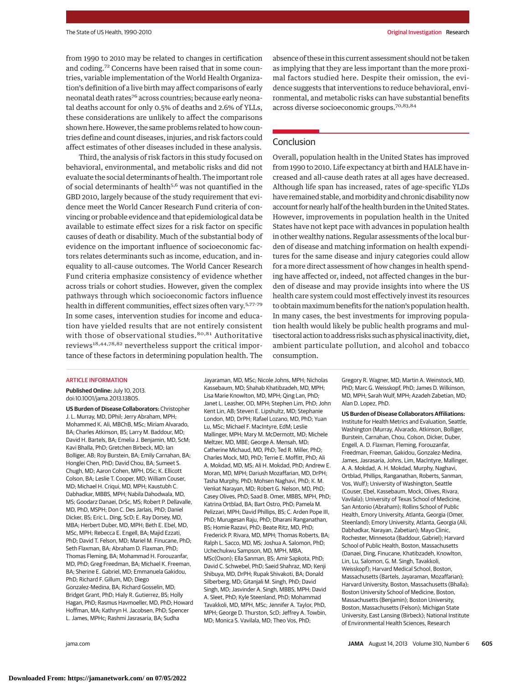from 1990 to 2010 may be related to changes in certification and coding.<sup>72</sup> Concerns have been raised that in some countries, variable implementation of the World Health Organization's definition of a live birth may affect comparisons of early neonatal death rates<sup>76</sup> across countries; because early neonatal deaths account for only 0.5% of deaths and 2.6% of YLLs, these considerations are unlikely to affect the comparisons shown here. However, the same problems related to how countries define and count diseases, injuries, and risk factors could affect estimates of other diseases included in these analysis.

Third, the analysis of risk factors in this study focused on behavioral, environmental, and metabolic risks and did not evaluate the social determinants of health. The important role of social determinants of health<sup>5,6</sup> was not quantified in the GBD 2010, largely because of the study requirement that evidence meet the World Cancer Research Fund criteria of convincing or probable evidence and that epidemiological data be available to estimate effect sizes for a risk factor on specific causes of death or disability. Much of the substantial body of evidence on the important influence of socioeconomic factors relates determinants such as income, education, and inequality to all-cause outcomes. The World Cancer Research Fund criteria emphasize consistency of evidence whether across trials or cohort studies. However, given the complex pathways through which socioeconomic factors influence health in different communities, effect sizes often vary.<sup>5,77-79</sup> In some cases, intervention studies for income and education have yielded results that are not entirely consistent with those of observational studies. 80,81 Authoritative reviews $^{18,44,78,82}$  nevertheless support the critical importance of these factors in determining population health. The absence of these in this current assessment should not be taken as implying that they are less important than the more proximal factors studied here. Despite their omission, the evidence suggests that interventions to reduce behavioral, environmental, and metabolic risks can have substantial benefits across diverse socioeconomic groups.70,83,84

# **Conclusion**

Overall, population health in the United States has improved from 1990 to 2010. Life expectancy at birth and HALE have increased and all-cause death rates at all ages have decreased. Although life span has increased, rates of age-specific YLDs have remained stable, andmorbidity and chronic disability now account for nearly half of the health burden in the United States. However, improvements in population health in the United States have not kept pace with advances in population health in other wealthy nations. Regular assessments of the local burden of disease and matching information on health expenditures for the same disease and injury categories could allow for a more direct assessment of how changes in health spending have affected or, indeed, not affected changes in the burden of disease and may provide insights into where the US health care system could most effectively invest its resources to obtain maximum benefits for the nation's population health. In many cases, the best investments for improving population health would likely be public health programs and multisectoral action to address risks such as physical inactivity, diet, ambient particulate pollution, and alcohol and tobacco consumption.

#### ARTICLE INFORMATION

**Published Online:** July 10, 2013. doi:10.1001/jama.2013.13805.

**US Burden of Disease Collaborators:** Christopher J. L. Murray, MD, DPhil; Jerry Abraham, MPH; Mohammed K. Ali, MBChB, MSc; Miriam Alvarado, BA; Charles Atkinson, BS; Larry M. Baddour, MD; David H. Bartels, BA; Emelia J. Benjamin, MD, ScM; Kavi Bhalla, PhD; Gretchen Birbeck, MD; Ian Bolliger, AB; Roy Burstein, BA; Emily Carnahan, BA; Honglei Chen, PhD; David Chou, BA; Sumeet S. Chugh, MD; Aaron Cohen, MPH, DSc; K. Ellicott Colson, BA; Leslie T. Cooper, MD; William Couser, MD; Michael H. Criqui, MD, MPH; Kaustubh C. Dabhadkar, MBBS, MPH; Nabila Dahodwala, MD, MS; Goodarz Danaei, DrSc, MS; Robert P. Dellavalle, MD, PhD, MSPH; Don C. Des Jarlais, PhD; Daniel Dicker, BS; Eric L. Ding, ScD; E. Ray Dorsey, MD, MBA; Herbert Duber, MD, MPH; Beth E. Ebel, MD, MSc, MPH; Rebecca E. Engell, BA; Majid Ezzati, PhD; David T. Felson, MD; Mariel M. Finucane, PhD; Seth Flaxman, BA; Abraham D. Flaxman, PhD; Thomas Fleming, BA; Mohammad H. Forouzanfar, MD, PhD; Greg Freedman, BA; Michael K. Freeman, BA; Sherine E. Gabriel, MD; Emmanuela Gakidou, PhD; Richard F. Gillum, MD; Diego Gonzalez-Medina, BA; Richard Gosselin, MD; Bridget Grant, PhD; Hialy R. Gutierrez, BS; Holly Hagan, PhD; Rasmus Havmoeller, MD, PhD; Howard Hoffman, MA; Kathryn H. Jacobsen, PhD; Spencer L. James, MPHc; Rashmi Jasrasaria, BA; Sudha

Jayaraman, MD, MSc; Nicole Johns, MPH; Nicholas Kassebaum, MD; Shahab Khatibzadeh, MD, MPH; Lisa Marie Knowlton, MD, MPH; Qing Lan, PhD; Janet L. Leasher, OD, MPH; Stephen Lim, PhD; John Kent Lin, AB; Steven E. Lipshultz, MD; Stephanie London, MD, DrPH; Rafael Lozano, MD, PhD; Yuan Lu, MSc; Michael F. MacIntyre, EdM; Leslie Mallinger, MPH; Mary M. McDermott, MD; Michele Meltzer, MD, MBE; George A. Mensah, MD; Catherine Michaud, MD, PhD; Ted R. Miller, PhD; Charles Mock, MD, PhD; Terrie E. Moffitt, PhD; Ali A. Mokdad, MD, MS; Ali H. Mokdad, PhD; Andrew E. Moran, MD, MPH; Dariush Mozaffarian, MD, DrPH; Tasha Murphy, PhD; Mohsen Naghavi, PhD; K. M. Venkat Narayan, MD; Robert G. Nelson, MD, PhD; Casey Olives, PhD; Saad B. Omer, MBBS, MPH, PhD; Katrina Ortblad, BA; Bart Ostro, PhD; Pamela M. Pelizzari, MPH; David Phillips, BS; C. Arden Pope III, PhD; Murugesan Raju, PhD; Dharani Ranganathan, BS; Homie Razavi, PhD; Beate Ritz, MD, PhD; Frederick P. Rivara, MD, MPH; Thomas Roberts, BA; Ralph L. Sacco, MD, MS; Joshua A. Salomon, PhD; Uchechukwu Sampson, MD, MPH, MBA, MSc(Oxon); Ella Sanman, BS; Amir Sapkota, PhD; David C. Schwebel, PhD; Saeid Shahraz, MD; Kenji Shibuya, MD, DrPH; Rupak Shivakoti, BA; Donald Silberberg, MD; Gitanjali M. Singh, PhD; David Singh, MD; Jasvinder A. Singh, MBBS, MPH; David A. Sleet, PhD; Kyle Steenland, PhD; Mohammad Tavakkoli, MD, MPH, MSc; Jennifer A. Taylor, PhD, MPH; George D. Thurston, ScD; Jeffrey A. Towbin, MD; Monica S. Vavilala, MD; Theo Vos, PhD;

Gregory R. Wagner, MD; Martin A. Weinstock, MD, PhD; Marc G. Weisskopf, PhD; James D. Wilkinson, MD, MPH; Sarah Wulf, MPH; Azadeh Zabetian, MD; Alan D. Lopez, PhD.

**US Burden of Disease Collaborators Affiliations:** Institute for Health Metrics and Evaluation, Seattle, Washington (Murray, Alvarado, Atkinson, Bolliger, Burstein, Carnahan, Chou, Colson, Dicker, Duber, Engell, A. D. Flaxman, Fleming, Forouzanfar, Freedman, Freeman, Gakidou, Gonzalez-Medina, James, Jasrasaria, Johns, Lim, MacIntyre, Mallinger, A. A. Mokdad, A. H. Mokdad, Murphy, Naghavi, Ortblad, Phillips, Ranganathan, Roberts, Sanman, Vos, Wulf); University of Washington, Seattle (Couser, Ebel, Kassebaum, Mock, Olives, Rivara, Vavilala); University of Texas School of Medicine, San Antonio (Abraham); Rollins School of Public Health, Emory University, Atlanta, Georgia (Omer, Steenland); Emory University, Atlanta, Georgia (Ali, Dabhadkar, Narayan, Zabetian); Mayo Clinic, Rochester, Minnesota (Baddour, Gabriel); Harvard School of Public Health, Boston, Massachusetts (Danaei, Ding, Finucane, Khatibzadeh, Knowlton, Lin, Lu, Salomon, G. M. Singh, Tavakkoli, Weisskopf); Harvard Medical School, Boston, Massachusetts (Bartels, Jayaraman, Mozaffarian); Harvard University, Boston, Massachusetts (Bhalla); Boston University School of Medicine, Boston, Massachusetts (Benjamin); Boston University, Boston, Massachusetts (Felson); Michigan State University, East Lansing (Birbeck); National Institute of Environmental Health Sciences, Research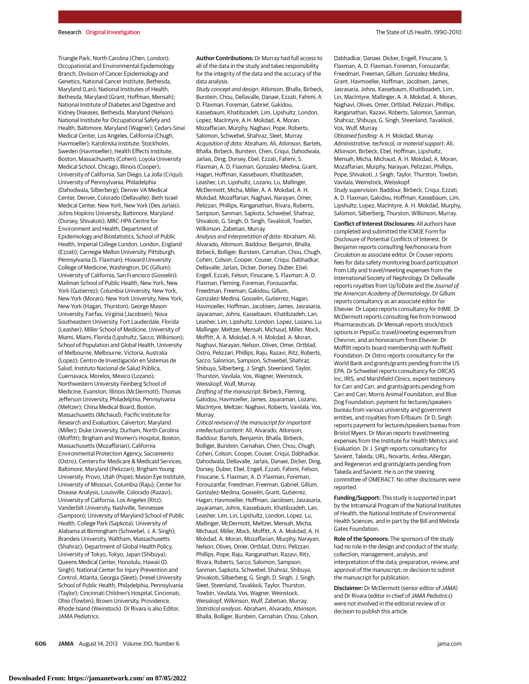Triangle Park, North Carolina (Chen, London); Occupational and Environmental Epidemiology Branch, Division of Cancer Epidemiology and Genetics, National Cancer Institute, Bethesda, Maryland (Lan); National Institutes of Health, Bethesda, Maryland (Grant, Hoffman, Mensah); National Institute of Diabetes and Digestive and Kidney Diseases, Bethesda, Maryland (Nelson); National Institute for Occupational Safety and Health, Baltimore, Maryland (Wagner); Cedars-Sinai Medical Center, Los Angeles, California (Chugh, Havmoeller); Karolinska Institute, Stockholm, Sweden (Havmoeller); Health Effects Institute, Boston, Massachusetts (Cohen); Loyola University Medical School, Chicago, Illinois (Cooper); University of California, San Diego, La Jolla (Criqui); University of Pennsylvania, Philadelphia (Dahodwala, Silberberg); Denver VA Medical Center, Denver, Colorado (Dellavalle); Beth Israel Medical Center, New York, New York (Des Jarlais); Johns Hopkins University, Baltimore, Maryland (Dorsey, Shivakoti); MRC-HPA Centre for Environment and Health, Department of Epidemiology and Biostatistics, School of Public Health, Imperial College London, London, England (Ezzati); Carnegie Mellon University, Pittsburgh, Pennsylvania (S. Flaxman); Howard University College of Medicine, Washington, DC (Gillum); University of California, San Francisco (Gosselin); Mailman School of Public Health, New York, New York (Gutierrez); Columbia University, New York, New York (Moran); New York University, New York, New York (Hagan, Thurston); George Mason University, Fairfax, Virginia (Jacobsen); Nova Southeastern University, Fort Lauderdale, Florida (Leasher); Miller School of Medicine, University of Miami, Miami, Florida (Lipshultz, Sacco, Wilkinson); School of Population and Global Health, University of Melbourne, Melbourne, Victoria, Australia (Lopez); Centro de Investigación en Sistemas de Salud, Instituto Nacional de Salud Pública, Cuernavaca, Morelos, Mexico (Lozano); Northwestern University Feinberg School of Medicine, Evanston, Illinois (McDermott); Thomas Jefferson University, Philadelphia, Pennsylvania (Meltzer); China Medical Board, Boston, Massachusetts (Michaud); Pacific Institute for Research and Evaluation, Calverton, Maryland (Miller); Duke University, Durham, North Carolina (Moffitt); Brigham and Women's Hospital, Boston, Massachusetts (Mozaffarian); California Environmental Protection Agency, Sacramento (Ostro); Centers for Medicare & Medicaid Services, Baltimore, Maryland (Pelizzari); Brigham Young University, Provo, Utah (Pope); Mason Eye Institute, University of Missouri, Columbia (Raju); Center for Disease Analysis, Louisville, Colorado (Razavi); University of California, Los Angeles (Ritz); Vanderbilt University, Nashville, Tennessee (Sampson); University of Maryland School of Public Health, College Park (Sapkota); University of Alabama at Birmingham (Schwebel, J. A. Singh); Brandeis University, Waltham, Massachusetts (Shahraz); Department of Global Health Policy, University of Tokyo, Tokyo, Japan (Shibuya); Queens Medical Center, Honolulu, Hawaii (D. Singh); National Center for Injury Prevention and Control, Atlanta, Georgia (Sleet); Drexel University School of Public Health, Philadelphia, Pennsylvania (Taylor); Cincinnati Children's Hospital, Cincinnati, Ohio (Towbin); Brown University, Providence, Rhode Island (Weinstock). Dr Rivara is also Editor, JAMA Pediatrics.

**Author Contributions:** Dr Murray had full access to all of the data in the study and takes responsibility for the integrity of the data and the accuracy of the data analysis.

Study concept and design: Atkinson, Bhalla, Birbeck, Burstein, Chou, Dellavalle, Danaei, Ezzati, Fahimi, A. D. Flaxman, Foreman, Gabriel, Gakidou, Kassebaum, Khatibzadeh, Lim, Lipshultz, London, Lopez, MacIntyre, A.H. Mokdad, A. Moran, Mozaffarian, Murphy, Naghavi, Pope, Roberts, Salomon, Schwebel, Shahraz, Sleet, Murray. Acquisition of data: Abraham, Ali, Atkinson, Bartels, Bhalla, Birbeck, Burstein, Chen, Criqui, Dahodwala, Jarlais, Ding, Dorsey, Ebel, Ezzati, Fahimi, S. Flaxman, A. D. Flaxman, Gonzalez-Medina, Grant, Hagan, Hoffman, Kassebaum, Khatibzadeh, Leasher, Lin, Lipshultz, Lozano, Lu, Mallinger, McDermott, Micha, Miller, A. A. Mokdad, A. H. Mokdad, Mozaffarian, Naghavi, Narayan, Omer, Pelizzari, Phillips, Ranganathan, Rivara, Roberts, Sampson, Sanman, Sapkota, Schwebel, Shahraz, Shivakoti, G. Singh, D. Singh, Tavakkoli, Towbin, Wilkinson, Zabetian, Murray.

Analysis and interpretation of data: Abraham, Ali, Alvarado, Atkinson, Baddour, Benjamin, Bhalla, Birbeck, Bolliger, Burstein, Carnahan, Chou, Chugh, Cohen, Colson, Cooper, Couser, Criqui, Dabhadkar, Dellavalle, Jarlais, Dicker, Dorsey, Duber, Ebel, Engell, Ezzati, Felson, Finucane, S. Flaxman, A. D. Flaxman, Fleming, Foreman, Forouzanfar, Freedman, Freeman, Gakidou, Gillum, Gonzalez-Medina, Gosselin, Gutierrez, Hagan, Havmoeller, Hoffman, Jacobsen, James, Jasrasaria, Jayaraman, Johns, Kassebaum, Khatibzadeh, Lan, Leasher, Lim, Lipshultz, London, Lopez, Lozano, Lu, Mallinger, Meltzer, Mensah, Michaud, Miller, Mock, Moffitt, A. A. Mokdad, A. H. Mokdad, A. Moran, Naghavi, Narayan, Nelson, Olives, Omer, Ortblad, Ostro, Pelizzari, Phillips, Raju, Razavi, Ritz, Roberts, Sacco, Salomon, Sampson, Schwebel, Shahraz, Shibuya, Silberberg, J. Singh, Steenland, Taylor, Thurston, Vavilala, Vos, Wagner, Weinstock, Weisskopf, Wulf, Murray.

Drafting of the manuscript: Birbeck, Fleming, Gakidou, Havmoeller, James, Jayaraman, Lozano, MacIntyre, Meltzer, Naghavi, Roberts, Vavilala, Vos, Murray.

Critical revision of the manuscript for important intellectual content: Ali, Alvarado, Atkinson, Baddour, Bartels, Benjamin, Bhalla, Birbeck, Bolliger, Burstein, Carnahan, Chen, Chou, Chugh, Cohen, Colson, Cooper, Couser, Criqui, Dabhadkar, Dahodwala, Dellavalle, Jarlais, Danaei, Dicker, Ding, Dorsey, Duber, Ebel, Engell, Ezzati, Fahimi, Felson, Finucane, S. Flaxman, A. D. Flaxman, Foreman, Forouzanfar, Freedman, Freeman, Gabriel, Gillum, Gonzalez-Medina, Gosselin, Grant, Gutierrez, Hagan, Havmoeller, Hoffman, Jacobsen, Jasrasaria, Jayaraman, Johns, Kassebaum, Khatibzadeh, Lan, Leasher, Lim, Lin, Lipshultz, London, Lopez, Lu, Mallinger, McDermott, Meltzer, Mensah, Micha, Michaud, Miller, Mock, Moffitt, A. A. Mokdad, A. H. Mokdad, A. Moran, Mozaffarian, Murphy, Narayan, Nelson, Olives, Omer, Ortblad, Ostro, Pelizzari, Phillips, Pope, Raju, Ranganathan, Razavi, Ritz, Rivara, Roberts, Sacco, Salomon, Sampson, Sanman, Sapkota, Schwebel, Shahraz, Shibuya, Shivakoti, Silberberg, G. Singh, D. Singh, J. Singh, Sleet, Steenland, Tavakkoli, Taylor, Thurston, Towbin, Vavilala, Vos, Wagner, Weinstock, Weisskopf, Wilkinson, Wulf, Zabetian, Murray. Statistical analysis: Abraham, Alvarado, Atkinson, Bhalla, Bolliger, Burstein, Carnahan, Chou, Colson,

Dabhadkar, Danaei, Dicker, Engell, Finucane, S. Flaxman, A. D. Flaxman, Foreman, Forouzanfar, Freedman, Freeman, Gillum, Gonzalez-Medina, Grant, Havmoeller, Hoffman, Jacobsen, James, Jasrasaria, Johns, Kassebaum, Khatibzadeh, Lim, Lin, MacIntyre, Mallinger, A. A. Mokdad, A. Moran, Naghavi, Olives, Omer, Ortblad, Pelizzari, Phillips, Ranganathan, Razavi, Roberts, Salomon, Sanman, Shahraz, Shibuya, G. Singh, Steenland, Tavakkoli, Vos, Wulf, Murray.

Obtained funding: A. H. Mokdad, Murray. Administrative, technical, or material support: Ali, Atkinson, Birbeck, Ebel, Hoffman, Lipshultz, Mensah, Micha, Michaud, A. H. Mokdad, A. Moran, Mozaffarian, Murphy, Narayan, Pelizzari, Phillips, Pope, Shivakoti, J. Singh, Taylor, Thurston, Towbin, Vavilala, Weinstock, Weisskopf.

Study supervision: Baddour, Birbeck, Criqui, Ezzati, A. D. Flaxman, Gakidou, Hoffman, Kassebaum, Lim, Lipshultz, Lopez, MacIntyre, A. H. Mokdad, Murphy, Salomon, Silberberg, Thurston, Wilkinson, Murray.

**Conflict of Interest Disclosures:** All authors have completed and submitted the ICMJE Form for Disclosure of Potential Conflicts of Interest. Dr Benjamin reports consulting fee/honoraria from Circulation as associate editor. Dr Couser reports fees for data safety monitoring board participation from Lilly and travel/meeting expenses from the International Society of Nephrology. Dr Dellavalle reports royalties from UpToDate and the Journal of the American Academy of Dermatology. Dr Gillum reports consultancy as an associate editor for Elsevier. Dr Lopez reports consultancy for IHME. Dr McDermott reports consulting fee from Ironwood Pharmaceuticals. Dr Mensah reports stock/stock options in PepsiCo, travel/meeting expenses from Chevron, and an honorarium from Elsevier. Dr Moffitt reports board membership with Nuffield Foundation. Dr Ostro reports consultancy for the World Bank and grants/grants pending from the US EPA. Dr Schwebel reports consultancy for ORCAS Inc, IRIS, and Marshfield Clinics, expert testimony for Carr and Carr, and grants/grants pending from Carr and Carr, Morris Animal Foundation, and Blue Dog Foundation, payment for lectures/speakers bureau from various university and government entities, and royalties from Erlbaum. Dr D. Singh reports payment for lectures/speakers bureau from Bristol Myers. Dr Moran reports travel/meeting expenses from the Institute for Health Metrics and Evaluation. Dr J. Singh reports consultancy for Savient, Takeda, URL, Novartis, Ardea, Allergan, and Regeneron and grants/grants pending from Takeda and Savient. He is on the steering committee of OMERACT. No other disclosures were reported.

**Funding/Support:** This study is supported in part by the Intramural Program of the National Institutes of Health, the National Institute of Environmental Health Sciences, and in part by the Bill and Melinda Gates Foundation.

**Role of the Sponsors:** The sponsors of the study had no role in the design and conduct of the study; collection, management, analysis, and interpretation of the data; preparation, review, and approval of the manuscript; or decision to submit the manuscript for publication.

**Disclaimer:** Dr McDermott (senior editor of JAMA) and Dr Rivara (editor in chief of JAMA Pediatrics) were not involved in the editorial review of or decision to publish this article.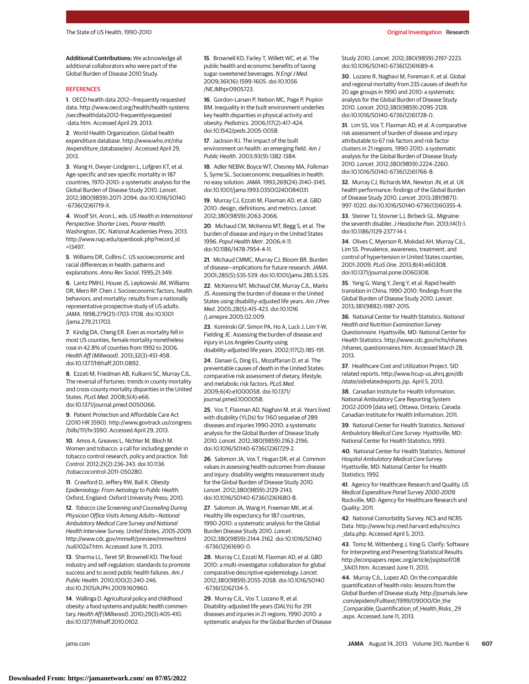**Additional Contributions:** We acknowledge all additional collaborators who were part of the Global Burden of Disease 2010 Study.

#### **REFERENCES**

**1**. OECD health data 2012—frequently requested data. http://www.oecd.org/health/health-systems /oecdhealthdata2012-frequentlyrequested -data.htm. Accessed April 29, 2013.

**2**. World Health Organization. Global health expenditure database. http://www.who.int/nha /expenditure\_database/en/. Accessed April 29, 2013.

**3**. Wang H, Dwyer-Lindgren L, Lofgren KT, et al. Age-specific and sex-specific mortality in 187 countries, 1970-2010: a systematic analysis for the Global Burden of Disease Study 2010. Lancet. 2012;380(9859):2071-2094. doi:10.1016/S0140 -6736(12)61719-X.

**4**. Woolf SH, Aron L, eds. US Health in International Perspective: Shorter Lives, Poorer Health. Washington, DC: National Academies Press; 2013. http://www.nap.edu/openbook.php?record\_id =13497.

**5**. Williams DR, Collins C. US socioeconomic and racial differences in health: patterns and explanations. Annu Rev Sociol. 1995;21:349.

**6**. Lantz PMHJ, House JS, Lepkowski JM, Williams DR, Mero RP, Chen J. Socioeconomic factors, health behaviors, and mortality: results from a nationally representative prospective study of US adults. JAMA. 1998;279(21):1703-1708. doi:10.1001 /jama.279.21.1703.

**7**. Kindig DA, Cheng ER. Even as mortality fell in most US counties, female mortality nonetheless rose in 42.8% of counties from 1992 to 2006. Health Aff (Millwood). 2013;32(3):451-458. doi:10.1377/hlthaff.2011.0892.

**8**. Ezzati M, Friedman AB, Kulkarni SC, Murray CJL. The reversal of fortunes: trends in county mortality and cross-county mortality disparities in the United States. PLoS Med. 2008;5(4):e66. doi:10.1371/journal.pmed.0050066.

**9**. Patient Protection and Affordable Care Act (2010 HR 3590). http://www.govtrack.us/congress /bills/111/hr3590. Accessed April 29, 2013.

**10**. Amos A, Greaves L, Nichter M, Bloch M. Women and tobacco: a call for including gender in tobacco control research, policy and practice. Tob Control. 2012;21(2):236-243. doi:10.1136 /tobaccocontrol-2011-050280.

**11**. Crawford D, Jeffery RW, Ball K. Obesity Epidemiology: From Aetiology to Public Health. Oxford, England: Oxford University Press; 2010.

**12**. Tobacco Use Screening and Counseling During Physician Office Visits Among Adults—National Ambulatory Medical Care Survey and National Health Interview Survey, United States, 2005-2009. http://www.cdc.gov/mmwR/preview/mmwrhtml /su6102a7.htm. Accessed June 11, 2013.

**13**. Sharma LL, Teret SP, Brownell KD. The food industry and self-regulation: standards to promote success and to avoid public health failures. Am J Public Health. 2010;100(2):240-246. doi:10.2105/AJPH.2009.160960.

**14**. Wallinga D. Agricultural policy and childhood obesity: a food systems and public health commentary.Health Aff (Millwood). 2010;29(3):405-410. doi:10.1377/hlthaff.2010.0102.

**15**. Brownell KD, Farley T, Willett WC, et al. The public health and economic benefits of taxing sugar-sweetened beverages. N Engl J Med. 2009;361(16):1599-1605. doi:10.1056 /NEJMhpr0905723.

**16**. Gordon-Larsen P, Nelson MC, Page P, Popkin BM. Inequality in the built environment underlies key health disparities in physical activity and obesity. Pediatrics. 2006;117(2):417-424. doi:10.1542/peds.2005-0058.

**17**. Jackson RJ. The impact of the built environment on health: an emerging field. Am J Public Health. 2003;93(9):1382-1384.

**18**. Adler NEBW, Boyce WT, Chesney MA, Folkman S, Syme SL. Socioeconomic inequalities in health: no easy solution.JAMA. 1993;269(24):3140-3145. doi:10.1001/jama.1993.03500240084031.

**19**. Murray CJ, Ezzati M, Flaxman AD, et al. GBD 2010: design, definitions, and metrics. Lancet. 2012;380(9859):2063-2066.

**20**. Michaud CM, McKenna MT, Begg S, et al. The burden of disease and injury in the United States 1996. Popul Health Metr. 2006;4:11. doi:10.1186/1478-7954-4-11.

**21**. Michaud CMMC, Murray CJ, Bloom BR. Burden of disease—implications for future research.JAMA. 2001;285(5):535-539. doi:10.1001/jama.285.5.535.

**22**. McKenna MT, Michaud CM, Murray CJL, Marks JS. Assessing the burden of disease in the United States using disability-adjusted life years. Am J Prev Med. 2005;28(5):415-423. doi:10.1016 /j.amepre.2005.02.009.

**23**. Kominski GF, Simon PA, Ho A, Luck J, Lim Y-W, Fielding JE. Assessing the burden of disease and injury in Los Angeles County using disability-adjusted life years. 2002;117(2):185-191.

**24**. Danaei G, Ding EL, Mozaffarian D, et al. The preventable causes of death in the United States: comparative risk assessment of dietary, lifestyle, and metabolic risk factors. PLoS Med. 2009;6(4):e1000058. doi:10.1371/ journal.pmed.1000058.

**25**. Vos T, Flaxman AD, Naghavi M, et al. Years lived with disability (YLDs) for 1160 sequelae of 289 diseases and injuries 1990-2010: a systematic analysis for the Global Burden of Disease Study 2010. Lancet. 2012;380(9859):2163-2196. doi:10.1016/S0140-6736(12)61729-2.

**26**. Salomon JA, Vos T, Hogan DR, et al. Common values in assessing health outcomes from disease and injury: disability weights measurement study for the Global Burden of Disease Study 2010. Lancet. 2012;380(9859):2129-2143. doi:10.1016/S0140-6736(12)61680-8.

**27**. Salomon JA, Wang H, Freeman MK, et al. Healthy life expectancy for 187 countries, 1990-2010: a systematic analysis for the Global Burden Disease Study 2010. Lancet. 2012;380(9859):2144-2162. doi:10.1016/S0140 -6736(12)61690-0.

**28**. Murray CJ, Ezzati M, Flaxman AD, et al. GBD 2010: a multi-investigator collaboration for global comparative descriptive epidemiology. Lancet. 2012;380(9859):2055-2058. doi:10.1016/S0140 -6736(12)62134-5.

**29**. Murray CJL, Vos T, Lozano R, et al. Disability-adjusted life years (DALYs) for 291 diseases and injuries in 21 regions, 1990-2010: a systematic analysis for the Global Burden of Disease Study 2010. Lancet. 2012;380(9859):2197-2223. doi:10.1016/S0140-6736(12)61689-4.

**30**. Lozano R, Naghavi M, Foreman K, et al. Global and regional mortality from 235 causes of death for 20 age groups in 1990 and 2010: a systematic analysis for the Global Burden of Disease Study 2010. Lancet. 2012;380(9859):2095-2128. doi:10.1016/S0140-6736(12)61728-0.

**31**. Lim SS, Vos T, Flaxman AD, et al. A comparative risk assessment of burden of disease and injury attributable to 67 risk factors and risk factor clusters in 21 regions, 1990-2010: a systematic analysis for the Global Burden of Disease Study 2010. Lancet. 2012;380(9859):2224-2260. doi:10.1016/S0140-6736(12)61766-8.

**32**. Murray CJ, Richards MA, Newton JN, et al. UK health performance: findings of the Global Burden of Disease Study 2010. Lancet. 2013;381(9871): 997-1020. doi:10.1016/S0140-6736(13)60355-4.

**33**. Steiner TJ, Stovner LJ, Birbeck GL. Migraine: the seventh disabler. J Headache Pain. 2013;14(1):1. doi:10.1186/1129-2377-14-1.

**34**. Olives C, Myerson R, Mokdad AH, Murray CJL, Lim SS. Prevalence, awareness, treatment, and control of hypertension in United States counties, 2001-2009. PLoS One. 2013;8(4):e60308. doi:10.1371/journal.pone.0060308.

**35**. Yang G, Wang Y, Zeng Y, et al. Rapid health transition in China, 1990-2010: findings from the Global Burden of Disease Study 2010. Lancet. 2013;381(9882):1987-2015.

**36**. National Center for Health Statistics. National Health and Nutrition Examination Survey Questionnaire. Hyattsville, MD: National Center for Health Statistics. http://www.cdc.gov/nchs/nhanes /nhanes\_questionnaires.htm. Accessed March 28, 2013.

**37**. Healthcare Cost and Utilization Project. SID related reports. http://www.hcup-us.ahrq.gov/db /state/sidrelatedreports.jsp. April 5, 2013.

**38**. Canadian Institute for Health Information. National Ambulatory Care Reporting System 2002-2009 [data set]. Ottawa, Ontario, Canada: Canadian Institute for Health Information; 2011.

**39**. National Center for Health Statistics. National Ambulatory Medical Care Survey. Hyattsville, MD: National Center for Health Statistics; 1993.

**40**. National Center for Health Statistics. National Hospital Ambulatory Medical Care Survey. Hyattsville, MD: National Center for Health Statistics; 1992.

**41**. Agency for Healthcare Research and Quality. US Medical Expenditure Panel Survey 2000-2009. Rockville, MD: Agency for Healthcare Research and Quality; 2011.

**42**. National Comorbidity Survey. NCS and NCRS Data. http://www.hcp.med.harvard.edu/ncs/ncs \_data.php. Accessed April 5, 2013.

**43**. Tomz M, Wittenberg J, King G. Clarify: Software for Interpreting and Presenting Statistical Results. http://econpapers.repec.org/article/jssjstsof/08 \_3Ai01.htm. Accessed June 11, 2013.

**44**. Murray CJL, Lopez AD. On the comparable quantification of health risks: lessons from the Global Burden of Disease study. http://journals.lww .com/epidem/Fulltext/1999/09000/On\_the \_Comparable\_Quantification\_of\_Health\_Risks\_.29 .aspx. Accessed June 11, 2013.